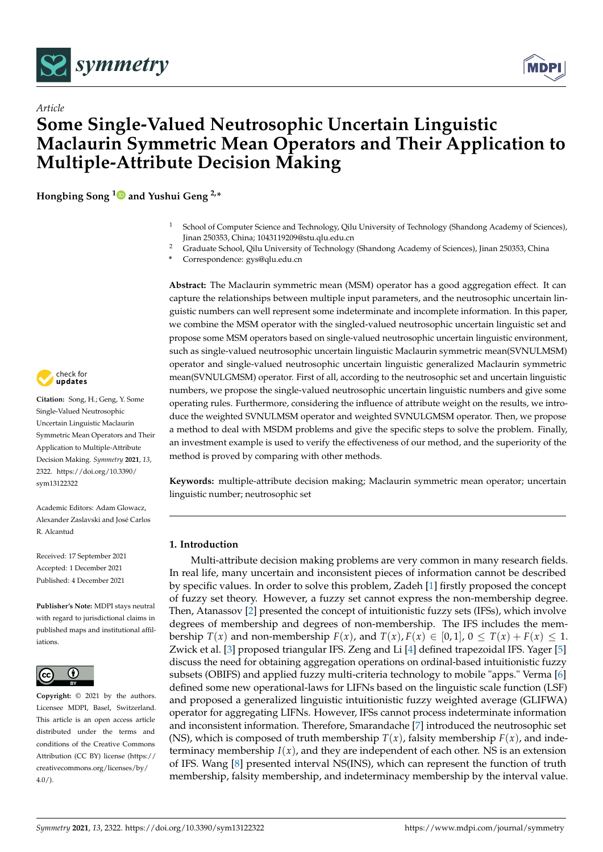



# *Article* **Some Single-Valued Neutrosophic Uncertain Linguistic Maclaurin Symmetric Mean Operators and Their Application to Multiple-Attribute Decision Making**

**Hongbing Song [1](https://orcid.org/0000-0003-2297-1185) and Yushui Geng 2,\***

- <sup>1</sup> School of Computer Science and Technology, Qilu University of Technology (Shandong Academy of Sciences), Jinan 250353, China; 1043119209@stu.qlu.edu.cn
- <sup>2</sup> Graduate School, Qilu University of Technology (Shandong Academy of Sciences), Jinan 250353, China
- **\*** Correspondence: gys@qlu.edu.cn

**Abstract:** The Maclaurin symmetric mean (MSM) operator has a good aggregation effect. It can capture the relationships between multiple input parameters, and the neutrosophic uncertain linguistic numbers can well represent some indeterminate and incomplete information. In this paper, we combine the MSM operator with the singled-valued neutrosophic uncertain linguistic set and propose some MSM operators based on single-valued neutrosophic uncertain linguistic environment, such as single-valued neutrosophic uncertain linguistic Maclaurin symmetric mean(SVNULMSM) operator and single-valued neutrosophic uncertain linguistic generalized Maclaurin symmetric mean(SVNULGMSM) operator. First of all, according to the neutrosophic set and uncertain linguistic numbers, we propose the single-valued neutrosophic uncertain linguistic numbers and give some operating rules. Furthermore, considering the influence of attribute weight on the results, we introduce the weighted SVNULMSM operator and weighted SVNULGMSM operator. Then, we propose a method to deal with MSDM problems and give the specific steps to solve the problem. Finally, an investment example is used to verify the effectiveness of our method, and the superiority of the method is proved by comparing with other methods.

**Keywords:** multiple-attribute decision making; Maclaurin symmetric mean operator; uncertain linguistic number; neutrosophic set

## **1. Introduction**

Multi-attribute decision making problems are very common in many research fields. In real life, many uncertain and inconsistent pieces of information cannot be described by specific values. In order to solve this problem, Zadeh [\[1\]](#page-20-0) firstly proposed the concept of fuzzy set theory. However, a fuzzy set cannot express the non-membership degree. Then, Atanassov [\[2\]](#page-20-1) presented the concept of intuitionistic fuzzy sets (IFSs), which involve degrees of membership and degrees of non-membership. The IFS includes the membership  $T(x)$  and non-membership  $F(x)$ , and  $T(x)$ ,  $F(x) \in [0,1]$ ,  $0 \leq T(x) + F(x) \leq 1$ . Zwick et al. [\[3\]](#page-20-2) proposed triangular IFS. Zeng and Li [\[4\]](#page-20-3) defined trapezoidal IFS. Yager [\[5\]](#page-20-4) discuss the need for obtaining aggregation operations on ordinal-based intuitionistic fuzzy subsets (OBIFS) and applied fuzzy multi-criteria technology to mobile "apps." Verma [\[6\]](#page-20-5) defined some new operational-laws for LIFNs based on the linguistic scale function (LSF) and proposed a generalized linguistic intuitionistic fuzzy weighted average (GLIFWA) operator for aggregating LIFNs. However, IFSs cannot process indeterminate information and inconsistent information. Therefore, Smarandache [\[7\]](#page-20-6) introduced the neutrosophic set (NS), which is composed of truth membership  $T(x)$ , falsity membership  $F(x)$ , and indeterminacy membership  $I(x)$ , and they are independent of each other. NS is an extension of IFS. Wang [\[8\]](#page-20-7) presented interval NS(INS), which can represent the function of truth membership, falsity membership, and indeterminacy membership by the interval value.



**Citation:** Song, H.; Geng, Y. Some Single-Valued Neutrosophic Uncertain Linguistic Maclaurin Symmetric Mean Operators and Their Application to Multiple-Attribute Decision Making. *Symmetry* **2021**, *13*, 2322. [https://doi.org/10.3390/](https://doi.org/10.3390/sym13122322) [sym13122322](https://doi.org/10.3390/sym13122322)

Academic Editors: Adam Glowacz, Alexander Zaslavski and José Carlos R. Alcantud

Received: 17 September 2021 Accepted: 1 December 2021 Published: 4 December 2021

**Publisher's Note:** MDPI stays neutral with regard to jurisdictional claims in published maps and institutional affiliations.



**Copyright:** © 2021 by the authors. Licensee MDPI, Basel, Switzerland. This article is an open access article distributed under the terms and conditions of the Creative Commons Attribution (CC BY) license (https:/[/](https://creativecommons.org/licenses/by/4.0/) [creativecommons.org/licenses/by/](https://creativecommons.org/licenses/by/4.0/)  $4.0/$ ).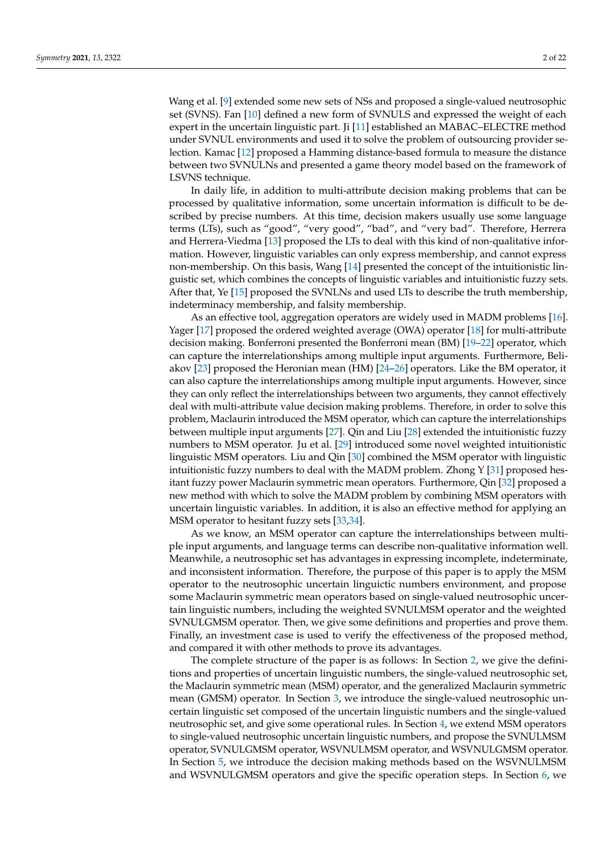Wang et al. [\[9\]](#page-20-8) extended some new sets of NSs and proposed a single-valued neutrosophic set (SVNS). Fan [\[10\]](#page-20-9) defined a new form of SVNULS and expressed the weight of each expert in the uncertain linguistic part. Ji [\[11\]](#page-20-10) established an MABAC–ELECTRE method under SVNUL environments and used it to solve the problem of outsourcing provider selection. Kamac [\[12\]](#page-20-11) proposed a Hamming distance-based formula to measure the distance between two SVNULNs and presented a game theory model based on the framework of LSVNS technique.

In daily life, in addition to multi-attribute decision making problems that can be processed by qualitative information, some uncertain information is difficult to be described by precise numbers. At this time, decision makers usually use some language terms (LTs), such as "good", "very good", "bad", and "very bad". Therefore, Herrera and Herrera-Viedma [\[13\]](#page-20-12) proposed the LTs to deal with this kind of non-qualitative information. However, linguistic variables can only express membership, and cannot express non-membership. On this basis, Wang [\[14\]](#page-20-13) presented the concept of the intuitionistic linguistic set, which combines the concepts of linguistic variables and intuitionistic fuzzy sets. After that, Ye [\[15\]](#page-20-14) proposed the SVNLNs and used LTs to describe the truth membership, indeterminacy membership, and falsity membership.

As an effective tool, aggregation operators are widely used in MADM problems [\[16\]](#page-20-15). Yager [\[17\]](#page-21-0) proposed the ordered weighted average (OWA) operator [\[18\]](#page-21-1) for multi-attribute decision making. Bonferroni presented the Bonferroni mean (BM) [\[19–](#page-21-2)[22\]](#page-21-3) operator, which can capture the interrelationships among multiple input arguments. Furthermore, Beliakov [\[23\]](#page-21-4) proposed the Heronian mean (HM) [\[24–](#page-21-5)[26\]](#page-21-6) operators. Like the BM operator, it can also capture the interrelationships among multiple input arguments. However, since they can only reflect the interrelationships between two arguments, they cannot effectively deal with multi-attribute value decision making problems. Therefore, in order to solve this problem, Maclaurin introduced the MSM operator, which can capture the interrelationships between multiple input arguments [\[27\]](#page-21-7). Qin and Liu [\[28\]](#page-21-8) extended the intuitionistic fuzzy numbers to MSM operator. Ju et al. [\[29\]](#page-21-9) introduced some novel weighted intuitionistic linguistic MSM operators. Liu and Qin [\[30\]](#page-21-10) combined the MSM operator with linguistic intuitionistic fuzzy numbers to deal with the MADM problem. Zhong Y [\[31\]](#page-21-11) proposed hesitant fuzzy power Maclaurin symmetric mean operators. Furthermore, Qin [\[32\]](#page-21-12) proposed a new method with which to solve the MADM problem by combining MSM operators with uncertain linguistic variables. In addition, it is also an effective method for applying an MSM operator to hesitant fuzzy sets [\[33](#page-21-13)[,34\]](#page-21-14).

As we know, an MSM operator can capture the interrelationships between multiple input arguments, and language terms can describe non-qualitative information well. Meanwhile, a neutrosophic set has advantages in expressing incomplete, indeterminate, and inconsistent information. Therefore, the purpose of this paper is to apply the MSM operator to the neutrosophic uncertain linguictic numbers environment, and propose some Maclaurin symmetric mean operators based on single-valued neutrosophic uncertain linguistic numbers, including the weighted SVNULMSM operator and the weighted SVNULGMSM operator. Then, we give some definitions and properties and prove them. Finally, an investment case is used to verify the effectiveness of the proposed method, and compared it with other methods to prove its advantages.

The complete structure of the paper is as follows: In Section [2,](#page-2-0) we give the definitions and properties of uncertain linguistic numbers, the single-valued neutrosophic set, the Maclaurin symmetric mean (MSM) operator, and the generalized Maclaurin symmetric mean (GMSM) operator. In Section [3,](#page-5-0) we introduce the single-valued neutrosophic uncertain linguistic set composed of the uncertain linguistic numbers and the single-valued neutrosophic set, and give some operational rules. In Section [4,](#page-5-1) we extend MSM operators to single-valued neutrosophic uncertain linguistic numbers, and propose the SVNULMSM operator, SVNULGMSM operator, WSVNULMSM operator, and WSVNULGMSM operator. In Section [5,](#page-14-0) we introduce the decision making methods based on the WSVNULMSM and WSVNULGMSM operators and give the specific operation steps. In Section [6,](#page-15-0) we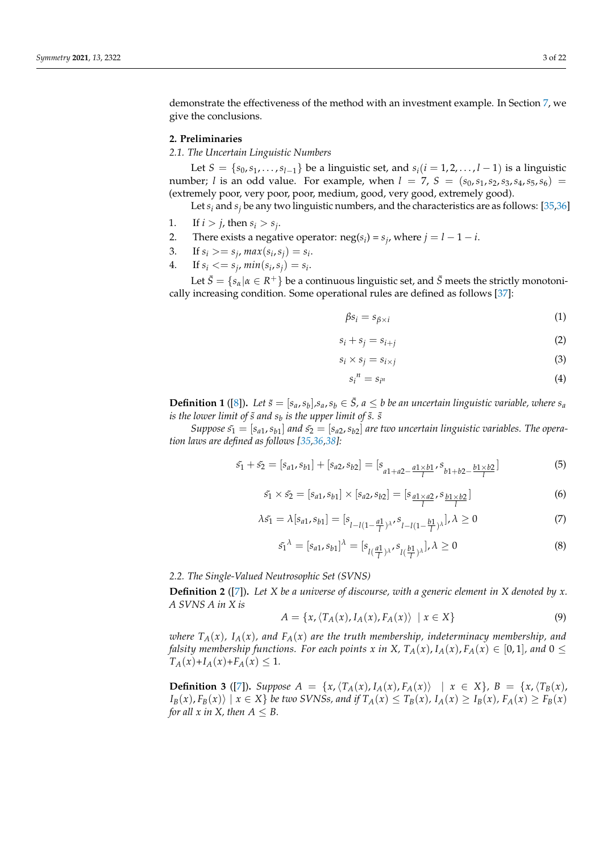demonstrate the effectiveness of the method with an investment example. In Section [7,](#page-19-0) we give the conclusions.

#### <span id="page-2-0"></span>**2. Preliminaries**

*2.1. The Uncertain Linguistic Numbers*

Let *S* = { $s_0$ ,  $s_1$ , ..., $s_{l-1}$ } be a linguistic set, and  $s_i$ ( $i = 1, 2, ..., l-1$ ) is a linguistic number; *l* is an odd value. For example, when  $l = 7$ ,  $S = (s_0, s_1, s_2, s_3, s_4, s_5, s_6)$ (extremely poor, very poor, poor, medium, good, very good, extremely good).

Let  $s_i$  and  $s_j$  be any two linguistic numbers, and the characteristics are as follows: [\[35](#page-21-15)[,36\]](#page-21-16)

- 1. If  $i > j$ , then  $s_i > s_j$ .
- 2. There exists a negative operator:  $\text{neg}(s_i) = s_j$ , where  $j = l 1 i$ .
- 3. If  $s_i \geq s_j$ ,  $max(s_i, s_j) = s_i$ .
- 4. If  $s_i \leq s_j$ ,  $\min(s_i, s_j) = s_i$ .

Let  $\bar{S} = \{s_\alpha | \alpha \in R^+\}$  be a continuous linguistic set, and  $\bar{S}$  meets the strictly monotonically increasing condition. Some operational rules are defined as follows [\[37\]](#page-21-17):

$$
\beta s_i = s_{\beta \times i} \tag{1}
$$

$$
s_i + s_j = s_{i+j} \tag{2}
$$

$$
s_i \times s_j = s_{i \times j} \tag{3}
$$

$$
s_i^{\,n} = s_{i^n} \tag{4}
$$

**Definition 1** ([\[8\]](#page-20-7)). Let  $\tilde{s} = [s_a, s_b]$ ,  $s_a, s_b \in \bar{S}$ ,  $a \leq b$  be an uncertain linguistic variable, where  $s_a$ *is the lower limit of*  $\tilde{s}$  *and*  $s_b$  *is the upper limit of*  $\tilde{s}$ *.*  $\tilde{s}$ 

*Suppose*  $\tilde{s}_1 = [s_{a1}, s_{b1}]$  and  $\tilde{s}_2 = [s_{a2}, s_{b2}]$  are two uncertain linguistic variables. The opera*tion laws are defined as follows [\[35](#page-21-15)[,36](#page-21-16)[,38\]](#page-21-18):*

$$
\tilde{s_1} + \tilde{s_2} = [s_{a1}, s_{b1}] + [s_{a2}, s_{b2}] = [s_{a1 + a2 - \frac{a1 \times b1}{l}}, s_{b1 + b2 - \frac{b1 \times b2}{l}}]
$$
(5)

$$
\tilde{s_1} \times \tilde{s_2} = [s_{a1}, s_{b1}] \times [s_{a2}, s_{b2}] = [s_{a1 \times a2}, s_{b1 \times b2}] \tag{6}
$$

$$
\lambda \tilde{s_1} = \lambda [s_{a1}, s_{b1}] = [s_{l-l(1-\frac{a1}{l})^{\lambda}}, s_{l-l(1-\frac{b1}{l})^{\lambda}}], \lambda \ge 0
$$
\n(7)

$$
\tilde{s_1}^{\lambda} = [s_{a1}, s_{b1}]^{\lambda} = [s_{l(\frac{a1}{l})^{\lambda}}, s_{l(\frac{b1}{l})^{\lambda}}], \lambda \ge 0
$$
\n(8)

### *2.2. The Single-Valued Neutrosophic Set (SVNS)*

**Definition 2** ([\[7\]](#page-20-6))**.** *Let X be a universe of discourse, with a generic element in X denoted by x. A SVNS A in X is*

$$
A = \{x, \langle T_A(x), I_A(x), F_A(x) \rangle \mid x \in X\}
$$
\n(9)

*where*  $T_A(x)$ ,  $I_A(x)$ , and  $F_A(x)$  are the truth membership, indeterminacy membership, and *falsity membership functions. For each points x in X,*  $T_A(x)$ ,  $I_A(x)$ ,  $F_A(x) \in [0,1]$ , and  $0 \le$  $T_A(x) + I_A(x) + F_A(x) \leq 1$ .

**Definition 3** ([\[7\]](#page-20-6)). Suppose  $A = \{x, (T_A(x), I_A(x), F_A(x)) | x \in X\}$ ,  $B = \{x, (T_B(x), F_A(x), F_A(x)) | x \in X\}$  $I_B(x)$ ,  $F_B(x)$  |  $x \in X$  } be two SVNSs, and if  $T_A(x) \le T_B(x)$ ,  $I_A(x) \ge I_B(x)$ ,  $F_A(x) \ge F_B(x)$ *for all x in X, then*  $A \leq B$ .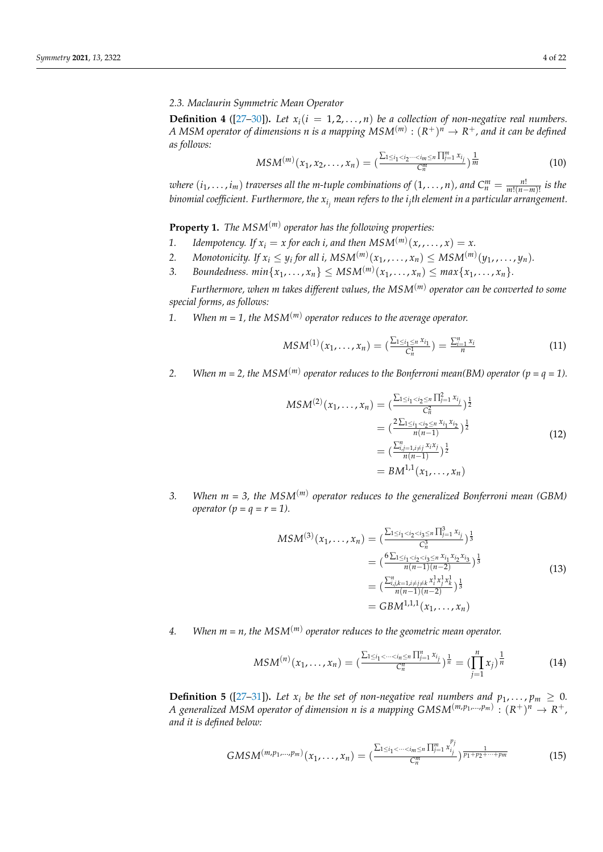*2.3. Maclaurin Symmetric Mean Operator*

**Definition 4** ( $[27-30]$  $[27-30]$ ). Let  $x_i(i = 1, 2, ..., n)$  be a collection of non-negative real numbers. *A MSM operator of dimensions n is a mapping*  $MSM^{(m)} : (R^+)^n \rightarrow R^+$ *, and it can be defined as follows:*

$$
MSM^{(m)}(x_1, x_2, \dots, x_n) = \left(\frac{\sum_{1 \le i_1 < i_2 \dots < i_m \le n} \prod_{j=1}^m x_{i_j}}{C_n^m}\right) \frac{1}{m} \tag{10}
$$

*where*  $(i_1, \ldots, i_m)$  *traverses all the m-tuple combinations of*  $(1, \ldots, n)$ *, and*  $C_n^m = \frac{n!}{m!(n-m)!}$  *is the binomial coefficient. Furthermore, the x<sup>i</sup> <sup>j</sup> mean refers to the i<sup>j</sup> th element in a particular arrangement.*

**Property 1.** *The MSM*(*m*) *operator has the following properties:*

- 1. Idempotency. If  $x_i = x$  for each *i*, and then  $MSM^{(m)}(x, \ldots, x) = x$ .
- 2. *Monotonicity.* If  $x_i \leq y_i$  for all i,  $MSM^{(m)}(x_1, \ldots, x_n) \leq MSM^{(m)}(y_1, \ldots, y_n)$ .
- 3. *Boundedness.*  $min\{x_1, ..., x_n\} \leq MSM^{(m)}(x_1, ..., x_n) \leq max\{x_1, ..., x_n\}.$

*Furthermore, when m takes different values, the MSM*(*m*) *operator can be converted to some special forms, as follows:*

1. When  $m = 1$ , the  $MSM<sup>(m)</sup>$  operator reduces to the average operator.

$$
MSM^{(1)}(x_1, \ldots, x_n) = \left(\frac{\sum_{1 \le i_1 \le n} x_{i_1}}{C_n^1}\right) = \frac{\sum_{i=1}^n x_i}{n}
$$
 (11)

2. *When m* = 2, the  $MSM^{(m)}$  operator reduces to the Bonferroni mean(BM) operator (p =  $q = 1$ ).

$$
MSM^{(2)}(x_1, ..., x_n) = \left(\frac{\sum_{1 \le i_1 < i_2 \le n} \prod_{j=1}^2 x_{i_j}}{C_n^2}\right)^{\frac{1}{2}}
$$
\n
$$
= \left(\frac{2\sum_{1 \le i_1 < i_2 \le n} x_{i_1} x_{i_2}}{n(n-1)}\right)^{\frac{1}{2}}
$$
\n
$$
= \left(\frac{\sum_{i,j=1, i \ne j}^{n} x_{i} x_{j}}{n(n-1)}\right)^{\frac{1}{2}}
$$
\n
$$
= BM^{1,1}(x_1, ..., x_n)
$$
\n
$$
(12)
$$

*3. When m = 3, the MSM*(*m*) *operator reduces to the generalized Bonferroni mean (GBM) operator*  $(p = q = r = 1)$ *.* 

$$
MSM^{(3)}(x_1, \dots, x_n) = \left(\frac{\sum_{1 \le i_1 < i_2 < i_3 \le n} \prod_{j=1}^3 x_{i_j}}{C_n^3}\right)^{\frac{1}{3}}
$$
\n
$$
= \left(\frac{6\sum_{1 \le i_1 < i_2 < i_3 \le n} x_{i_1} x_{i_2} x_{i_3}}{n(n-1)(n-2)}\right)^{\frac{1}{3}}
$$
\n
$$
= \left(\frac{\sum_{i,j,k=1, i \ne j \ne k}^n x_i^1 x_j^1 x_k^1}{n(n-1)(n-2)}\right)^{\frac{1}{3}}
$$
\n
$$
= GBM^{1,1,1}(x_1, \dots, x_n)
$$
\n
$$
(13)
$$

4. When  $m = n$ , the  $MSM^{(m)}$  operator reduces to the geometric mean operator.

$$
MSM^{(n)}(x_1,\ldots,x_n)=(\frac{\sum_{1\leq i_1<\cdots
$$

**Definition 5** ([\[27–](#page-21-7)[31\]](#page-21-11)). Let  $x_i$  be the set of non-negative real numbers and  $p_1, \ldots, p_m \ge 0$ . *A* generalized MSM operator of dimension n is a mapping  $GMSM^{(m,p_1,...,p_m)}: (R^+)^n \rightarrow R^+$ , *and it is defined below:*

$$
GMSM^{(m,p_1,...,p_m)}(x_1,...,x_n) = \left(\frac{\sum_{1 \le i_1 < \dots < i_m \le n} \prod_{j=1}^m x_{i_j}^{p_j}}{C_n^m}\right)^{\frac{1}{p_1 + p_2 + \dots + p_m}}\tag{15}
$$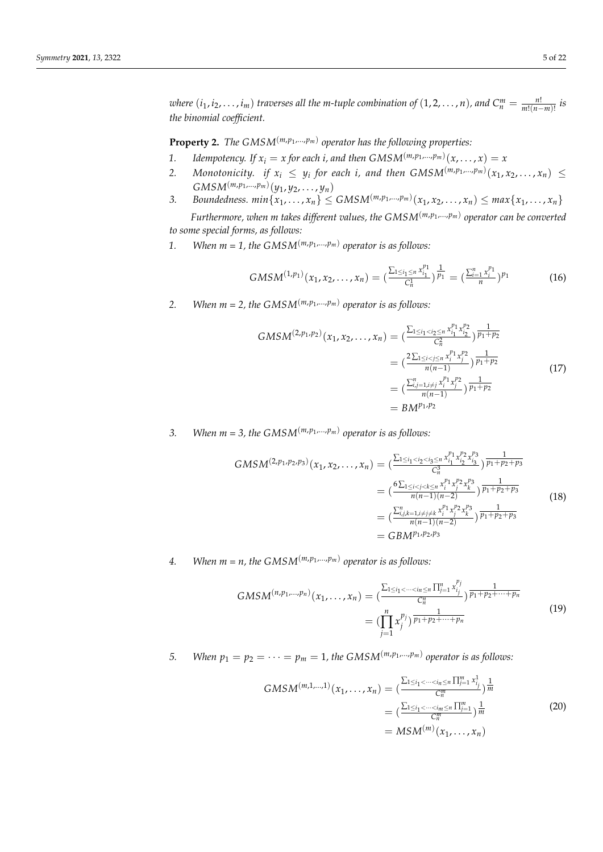where  $(i_1, i_2, \ldots, i_m)$  traverses all the m-tuple combination of  $(1, 2, \ldots, n)$ , and  $C_n^m = \frac{n!}{m!(n-m)!}$  is *the binomial coefficient.*

**Property 2.** *The GMSM*<sup>(*m,p*<sub>1</sub>,...,*p<sub>m</sub>*)</sub> *operator has the following properties:*</sup>

- 1. *Idempotency.* If  $x_i = x$  for each i, and then  $GMSM^{(m,p_1,...,p_m)}(x,\ldots,x) = x$
- 2. Monotonicity. if  $x_i \leq y_i$  for each *i*, and then  $GMSM^{(m,p_1,...,p_m)}(x_1, x_2,...,x_n) \leq$  $GMSM^{(m,p_1,...,p_m)}(y_1, y_2, \ldots, y_n)$
- 3. Boundedness.  $min\{x_1,\ldots,x_n\} \leq GMSM^{(m,p_1,\ldots,p_m)}(x_1,x_2,\ldots,x_n) \leq max\{x_1,\ldots,x_n\}$

*Furthermore, when m takes different values, the GMSM*(*m*,*p*<sup>1</sup> ,...,*pm*) *operator can be converted to some special forms, as follows:*

1. *When m* = 1, the GMSM<sup>(*m*,*p*<sub>1</sub>,...,*p*<sub>*m*</sub>)</sub> operator is as follows:</sup>

$$
GMSM^{(1,p_1)}(x_1, x_2, \dots, x_n) = \left(\frac{\sum_{1 \le i_1 \le n} x_{i_1}^{p_1}}{C_n^1}\right)^{\frac{1}{p_1}} = \left(\frac{\sum_{i=1}^n x_i^{p_1}}{n}\right)^{p_1} \tag{16}
$$

2. *When m = 2, the GMSM*<sup> $(m, p_1, \ldots, p_m)$  operator is as follows:</sup>

$$
GMSM^{(2,p_1,p_2)}(x_1, x_2, ..., x_n) = \left(\frac{\sum_{1 \le i_1 < i_2 \le n} x_{i_1}^{p_1} x_{i_2}^{p_2}}{C_n^2}\right) \frac{1}{p_1 + p_2}
$$
\n
$$
= \left(\frac{2 \sum_{1 \le i < j \le n} x_i^{p_1} x_j^{p_2}}{n(n-1)}\right) \frac{1}{p_1 + p_2}
$$
\n
$$
= \left(\frac{\sum_{i,j=1, i \ne j}^n x_i^{p_1} x_j^{p_2}}{n(n-1)}\right) \frac{1}{p_1 + p_2}
$$
\n
$$
= BM^{p_1, p_2}
$$
\n
$$
(17)
$$

3. *When*  $m = 3$ , the GMSM<sup>( $m, p_1, \ldots, p_m$ ) operator is as follows:</sup>

$$
GMSM^{(2,p_1,p_2,p_3)}(x_1, x_2, ..., x_n) = \left(\frac{\sum_{1 \le i_1 < i_2 < i_3 \le n} x_{i_1}^{p_1} x_{i_2}^{p_2} x_{i_3}^{p_3}}{C_n^3}\right) \frac{1}{p_1 + p_2 + p_3}
$$
\n
$$
= \left(\frac{6\sum_{1 \le i < j < k \le n} x_i^{p_1} x_{i_2}^{p_2} x_{i_3}^{p_3}}{n(n-1)(n-2)}\right) \frac{1}{p_1 + p_2 + p_3}
$$
\n
$$
= \left(\frac{\sum_{i,j,k=1, i \ne j \ne k} x_i^{p_1} x_i^{p_2} x_k^{p_3}}{n(n-1)(n-2)}\right) \frac{1}{p_1 + p_2 + p_3}
$$
\n
$$
= GBM^{p_1, p_2, p_3}
$$
\n
$$
(18)
$$

# 4. *When*  $m = n$ *, the GMSM*<sup> $(m, p_1, ..., p_m)$  operator is as follows:</sup>

$$
GMSM^{(n,p_1,\ldots,p_n)}(x_1,\ldots,x_n) = \left(\frac{\sum_{1 \le i_1 < \cdots < i_n \le n} \prod_{j=1}^n x_{i_j}^{p_j}}{C_n^n}\right) \frac{1}{p_1 + p_2 + \cdots + p_n}
$$
\n
$$
= \left(\prod_{j=1}^n x_j^{p_j}\right) \frac{1}{p_1 + p_2 + \cdots + p_n} \tag{19}
$$

*5. When*  $p_1 = p_2 = \cdots = p_m = 1$ , the GMSM<sup>(*m,p*1,...*,p<sub>m</sub>*)</sub> operator is as follows:</sup>

$$
GMSM^{(m,1,...,1)}(x_1,...,x_n) = \left(\frac{\sum_{1 \le i_1 < \dots < i_m \le n} \prod_{j=1}^m x_{i_j}}{C_n^m}\right) \frac{1}{m}
$$

$$
= \left(\frac{\sum_{1 \le i_1 < \dots < i_m \le n} \prod_{j=1}^m}{C_n^m}\right) \frac{1}{m}
$$

$$
= MSM^{(m)}(x_1,...,x_n)
$$
(20)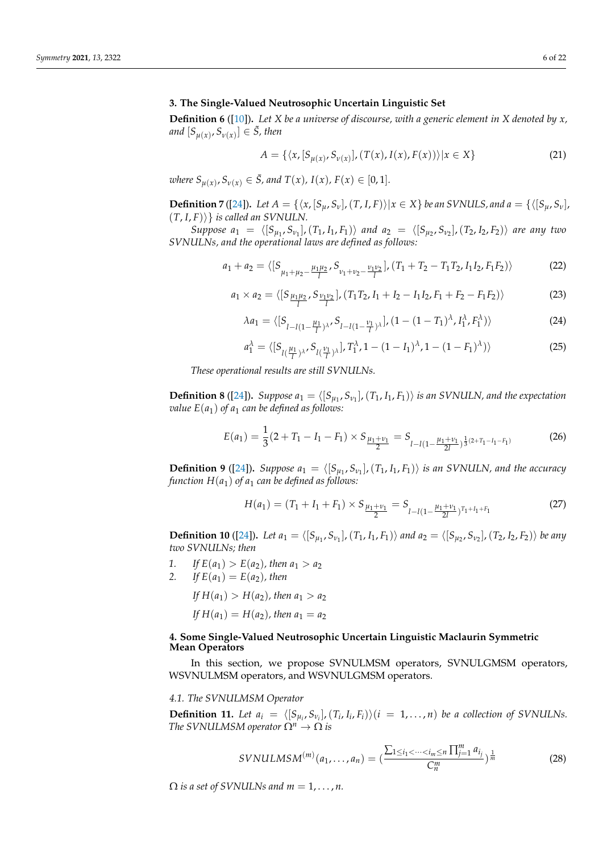### <span id="page-5-0"></span>**3. The Single-Valued Neutrosophic Uncertain Linguistic Set**

**Definition 6** ([\[10\]](#page-20-9))**.** *Let X be a universe of discourse, with a generic element in X denoted by x,*  $and$   $[S_{\mu(x)}, S_{\nu(x)}] \in \tilde{S}$ , then

$$
A = \{ \langle x, [S_{\mu(x)}, S_{\nu(x)}], (T(x), I(x), F(x)) \rangle | x \in X \}
$$
 (21)

 $\mathcal{L}$  *where*  $S_{\mu(x)}, S_{\nu(x)} \in \bar{S}$ , and  $T(x)$ ,  $I(x)$ ,  $F(x) \in [0, 1]$ .

**Definition** 7 ([\[24\]](#page-21-5)). Let  $A = \{ \langle x, [S_u, S_v], (T, I, F) \rangle | x \in X \}$  be an SVNULS, and  $a = \{ \langle [S_u, S_v], (T, I, F) \rangle | x \in X \}$  $(T, I, F)$ } *is called an SVNULN.* 

 $Suppose \, a_1 = \langle [S_{\mu_1}, S_{\nu_1}], (T_1, I_1, F_1) \rangle \, and \, a_2 = \langle [S_{\mu_2}, S_{\nu_2}], (T_2, I_2, F_2) \rangle \, are \, any \, two$ *SVNULNs, and the operational laws are defined as follows:*

$$
a_1 + a_2 = \langle [S_{\mu_1 + \mu_2 - \frac{\mu_1 \mu_2}{l}}, S_{\nu_1 + \nu_2 - \frac{\nu_1 \nu_2}{l}}], (T_1 + T_2 - T_1 T_2, I_1 I_2, F_1 F_2) \rangle \tag{22}
$$

$$
a_1 \times a_2 = \langle [S_{\frac{\mu_1 \mu_2}{l}}, S_{\frac{\nu_1 \nu_2}{l}}], (T_1 T_2, I_1 + I_2 - I_1 I_2, F_1 + F_2 - F_1 F_2) \rangle \tag{23}
$$

$$
\lambda a_1 = \langle [S_{l-l(1-\frac{\mu_1}{l})^{\lambda}}, S_{l-l(1-\frac{\nu_1}{l})^{\lambda}}], (1-(1-T_1)^{\lambda}, I_1^{\lambda}, F_1^{\lambda}) \rangle \tag{24}
$$

$$
a_1^{\lambda} = \langle [S_{l(\frac{\mu_1}{l})^{\lambda}}, S_{l(\frac{\nu_1}{l})^{\lambda}}], T_1^{\lambda}, 1 - (1 - I_1)^{\lambda}, 1 - (1 - F_1)^{\lambda} \rangle \rangle
$$
 (25)

*These operational results are still SVNULNs.*

**Definition 8** ([\[24\]](#page-21-5)). *Suppose*  $a_1 = \langle [S_{\mu_1}, S_{\nu_1}], (T_1, I_1, F_1) \rangle$  *is an SVNULN, and the expectation value*  $E(a_1)$  *of a*<sub>1</sub> *can be defined as follows:* 

$$
E(a_1) = \frac{1}{3}(2+T_1 - I_1 - F_1) \times S_{\frac{\mu_1 + \nu_1}{2}} = S_{l-l(1-\frac{\mu_1 + \nu_1}{2l})^{\frac{1}{3}(2+T_1 - I_1 - F_1)}}\tag{26}
$$

**Definition 9** ([\[24\]](#page-21-5)). *Suppose*  $a_1 = \langle [S_{\mu_1}, S_{\nu_1}], (T_1, I_1, F_1) \rangle$  *is an SVNULN, and the accuracy function*  $H(a_1)$  *of a<sub>1</sub> can be defined as follows:* 

$$
H(a_1) = (T_1 + I_1 + F_1) \times S_{\frac{\mu_1 + \nu_1}{2}} = S_{l - l(1 - \frac{\mu_1 + \nu_1}{2l})^{T_1 + I_1 + F_1}}
$$
(27)

**Definition 10** ([\[24\]](#page-21-5)). Let  $a_1 = \langle [S_{\mu_1}, S_{\nu_1}], (T_1, I_1, F_1) \rangle$  and  $a_2 = \langle [S_{\mu_2}, S_{\nu_2}], (T_2, I_2, F_2) \rangle$  be any *two SVNULNs; then*

*1. If*  $E(a_1) > E(a_2)$ , then  $a_1 > a_2$ <br> *2. If*  $E(a_1) = E(a_2)$ , then

 $2f E(a_1) = E(a_2)$ , then

*If*  $H(a_1) > H(a_2)$ *, then*  $a_1 > a_2$ 

*If*  $H(a_1) = H(a_2)$ *, then*  $a_1 = a_2$ 

## <span id="page-5-1"></span>**4. Some Single-Valued Neutrosophic Uncertain Linguistic Maclaurin Symmetric Mean Operators**

In this section, we propose SVNULMSM operators, SVNULGMSM operators, WSVNULMSM operators, and WSVNULGMSM operators.

#### *4.1. The SVNULMSM Operator*

**Definition 11.** Let  $a_i = \langle [S_{\mu_i}, S_{\nu_i}], (T_i, I_i, F_i) \rangle (i = 1, ..., n)$  be a collection of SVNULNs. *The SVNULMSM operator*  $\Omega^n \to \Omega$  *is* 

$$
SVMULMSM^{(m)}(a_1, ..., a_n) = \left(\frac{\sum_{1 \le i_1 < ... < i_m \le n} \prod_{j=1}^m a_{i_j}}{C_m^m}\right)^{\frac{1}{m}}
$$
(28)

 $\Omega$  *is a set of SVNULNs and m* = 1, ..., *n*.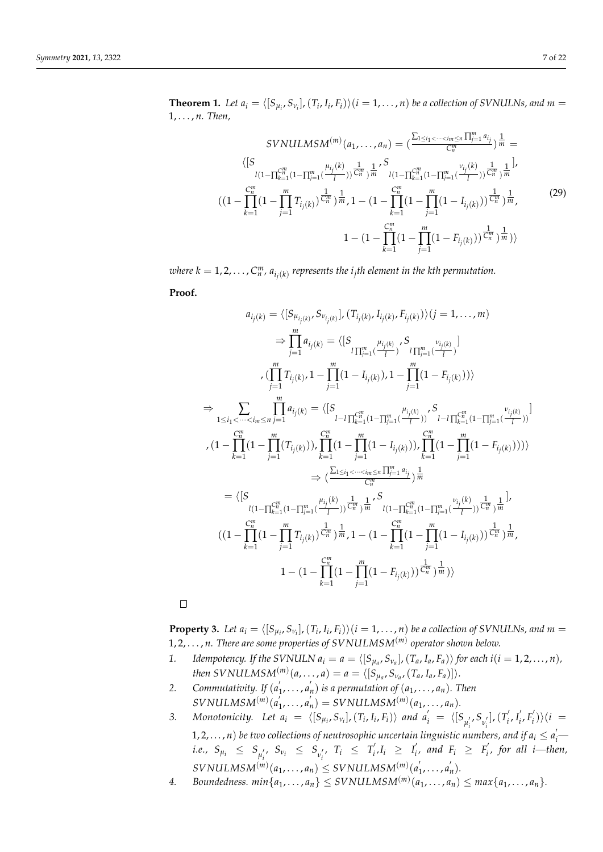**Theorem 1.** Let  $a_i = \langle [S_{\mu_i}, S_{\nu_i}], (T_i, I_i, F_i) \rangle (i = 1, ..., n)$  be a collection of SVNULNs, and  $m =$ 1, . . . , *n. Then,*

$$
SVMILMSM^{(m)}(a_1, ..., a_n) = \left(\frac{\sum_{1 \le i_1 < \dots < i_m \le n} \prod_{j=1}^m a_{i_j}}{C_n^m}\right) \frac{1}{m} =
$$
\n
$$
\langle [S \atop l(1 - \prod_{k=1}^{C_n^m} (1 - \prod_{j=1}^m (\frac{\mu_{i_j}(k)}{l})) \frac{1}{C_n^m}) \frac{1}{m} \cdot S \atop l(1 - \prod_{k=1}^{C_n^m} (1 - \prod_{j=1}^m (\frac{\nu_{i_j}(k)}{l})) \frac{1}{C_n^m}) \frac{1}{m}}
$$
\n
$$
((1 - \prod_{k=1}^{C_n^m} (1 - \prod_{j=1}^m T_{i_j(k)}) \frac{1}{C_n^m}) \frac{1}{m}, 1 - (1 - \prod_{k=1}^{C_n^m} (1 - \prod_{j=1}^m (1 - I_{i_j(k)})) \frac{1}{C_n^m}) \frac{1}{m},
$$
\n
$$
1 - (1 - \prod_{k=1}^{C_n^m} (1 - \prod_{j=1}^m (1 - F_{i_j(k)})) \frac{1}{C_n^m}) \frac{1}{m})\rangle
$$
\n
$$
(29)
$$

 $\omega$ here  $k = 1, 2, \ldots, C_n^m$ ,  $a_{i_j(k)}$  represents the  $i_j$ th element in the kth permutation.

**Proof.**

$$
a_{i_{j}(k)} = \langle [S_{\mu_{i_{j}(k)}}, S_{\nu_{i_{j}(k)}}], (T_{i_{j}(k)}, I_{i_{j}(k)}, F_{i_{j}(k)}) \rangle (j = 1, ..., m)
$$
  
\n
$$
\Rightarrow \prod_{j=1}^{m} a_{i_{j}(k)} = \langle [S_{\iota_{\prod_{j=1}^{m} \left(\frac{\mu_{i_{j}(k)}}{l}\right)}, S_{\iota_{\prod_{j=1}^{m} \left(\frac{\mu_{i_{j}(k)}}{l}\right)}}]
$$
  
\n
$$
\cdot (\prod_{j=1}^{m} T_{i_{j}(k)}, 1 - \prod_{j=1}^{m} (1 - I_{i_{j}(k)}), 1 - \prod_{j=1}^{m} (1 - F_{i_{j}(k)})) \rangle
$$
  
\n
$$
\Rightarrow \sum_{1 \leq i_{1} < \dots < i_{m} \leq n} \prod_{j=1}^{m} a_{i_{j}(k)} = \langle [S_{\iota_{l-1} \prod_{k=1}^{m} (1 - \prod_{j=1}^{m} \left(\frac{\mu_{i_{j}(k)}}{l}\right)}, S_{\iota_{l-1} \prod_{k=1}^{m} (1 - \prod_{j=1}^{m} \left(\frac{\mu_{i_{j}(k)}}{l}\right))}]
$$
  
\n
$$
\cdot (1 - \prod_{k=1}^{m} (1 - \prod_{j=1}^{m} (T_{i_{j}(k)})), \prod_{k=1}^{m} (1 - \prod_{j=1}^{m} (1 - I_{i_{j}(k)})), \prod_{k=1}^{m} (1 - \prod_{j=1}^{m} (1 - F_{i_{j}(k)}))) \rangle
$$
  
\n
$$
\Rightarrow (\frac{\sum_{1 \leq i_{1} < \dots < i_{m} \leq n} \prod_{j=1}^{m} a_{i_{j}}}{C_{i_{1}}^{m}}) \frac{1}{m}
$$
  
\n
$$
= \langle [S_{\iota_{l-1} \prod_{k=1}^{m} (1 - \prod_{j=1}^{m} \left(\frac{\mu_{i_{j}(k)}}{l}\right), \frac{1}{m}, \frac{1}{m}, S_{\iota_{l-1} \prod_{k=1}^{m} (1 - \prod_{j=1}^{m} (1 - I_{i_{j}(k)}))} \frac{1}{C_{i_{1}}^{m}}, \frac{1}{m
$$

 $\Box$ 

**Property 3.** Let  $a_i = \langle [S_{\mu_i}, S_{\nu_i}], (T_i, I_i, F_i) \rangle (i = 1, ..., n)$  be a collection of SVNULNs, and  $m =$ 1, 2, . . . , *n. There are some properties of SVNULMSM*(*m*) *operator shown below.*

- 1. Idempotency. If the SVNULN  $a_i = a = \langle [S_{\mu_a}, S_{\nu_a}], (T_a, I_a, F_a) \rangle$  for each  $i(i = 1, 2, ..., n)$ ,  $then \; SVMULMSM<sup>(m)</sup>(a, \ldots, a) = a = \langle [S_{\mu_a}, S_{\nu_a}, (T_a, I_a, F_a)] \rangle.$
- *2. Commutativity. If* (*a* 0  $'_{1}, \ldots, a'_{n}$  $\binom{n}{n}$  *is a permutation of*  $(a_1, \ldots, a_n)$ *. Then*  $SVMULMSM<sup>(m)</sup>(a<sup>2</sup>)$  $\frac{1}{1}, \ldots, a'_{n}$  $\binom{n}{n}$  = *SVNULMSM*<sup>(*m*)</sup>( $a_1, ..., a_n$ ).
- *3. Monotonicity. Let a<sup>i</sup>* = h[*Sµ<sup>i</sup>* , *Sν<sup>i</sup>* ],(*T<sup>i</sup>* , *Ii* , *Fi*)i *and a* 0 *<sup>i</sup>* = h[*S µ* 0 *i* , *S ν* 0 *i* ],(*T* 0  $\int_i', I_i'$  $E_i', F_i'$  $\binom{i}{i}$  $\binom{i}{i}$ 1, 2, . . . , *n*) be two collections of neutrosophic uncertain linguistic numbers, and if  $a_i \le a'_i$ *i.e.,*  $S_{\mu_i} \leq S_{\mu'_i}, S_{\nu_i} \leq S_{\nu'_i}, T_i \leq T'_i$  $I'_i, I_i \geq I'_i$  $F_i$  and  $F_i \geq F_i$ *i , for all i—then,*

 $\textit{SVMULMSM}^{(m)}(a_1, \ldots, a_n) \leq \textit{SVNULMSM}^{(m)}(a_1, \ldots, a_n)$  $\frac{1}{1}, \ldots, a'_{n}$ *n* )*.*

4. *Boundedness.*  $min\{a_1, \ldots, a_n\} \leq SVNULMSM^{(m)}(a_1, \ldots, a_n) \leq max\{a_1, \ldots, a_n\}.$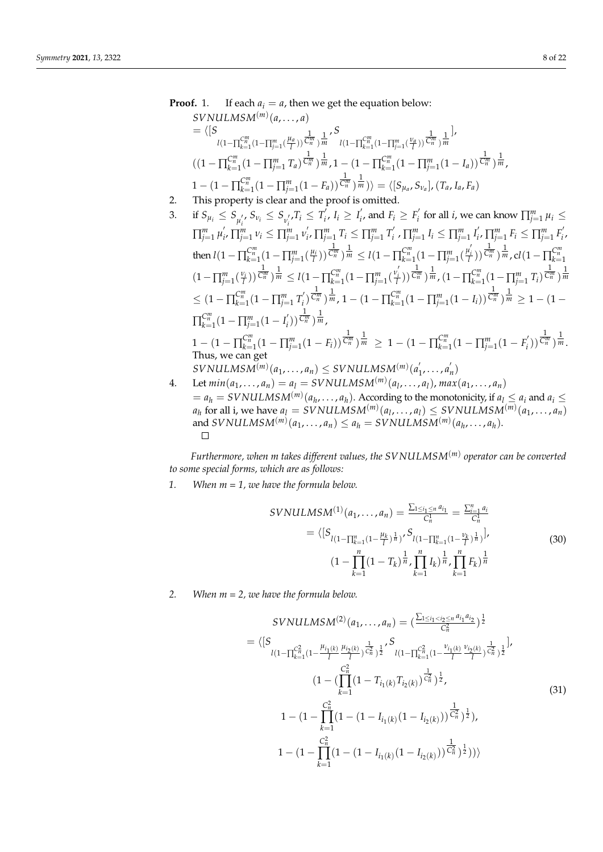Proof. 1. If each 
$$
a_i = a
$$
, then we get the equation below:  
\n*SVNULMSM*<sup>(m)</sup>  $(a, ..., a)$   
\n
$$
= \langle [S \tbinom{m}{n-1} \frac{1}{\Gamma_{n-1}^m} (\frac{\mu_a}{I}) \cdot \frac{1}{\Gamma_m^m} \cdot \frac{S}{m} \tbinom{m}{n-1} \frac{1}{\Gamma_{n-1}^m} (\frac{v_a}{I}) \cdot \frac{1}{\Gamma_m^m} \cdot \frac{1}{m} \cdot \frac{1}{\Gamma_{n-1}^m}.
$$
\n
$$
((1 - \prod_{k=1}^{C_m^m} (1 - \prod_{j=1}^m T_a) \cdot \frac{1}{\Gamma_m^m}) \cdot \frac{1}{m} \cdot 1 - (1 - \prod_{k=1}^{C_m^m} (1 - \prod_{j=1}^m (1 - I_a)) \cdot \frac{1}{\Gamma_m^m}) \cdot \frac{1}{m},
$$
\n
$$
1 - (1 - \prod_{k=1}^{C_m^m} (1 - \prod_{j=1}^m (1 - F_a)) \cdot \frac{1}{\Gamma_m^m}) \cdot \frac{1}{m}}) = \langle [S_{\mu_a}, S_{\nu_a}], (T_a, I_a, F_a)
$$
\n2. This property is clear and the proof is omitted.  
\n3. if  $S_{\mu_i} \leq S_{\mu'_i}, S_{\nu_i} \leq S_{\nu'_i}, T_i \leq T'_i, I_i \geq I'_i, \text{ and } F_i \geq F'_i \text{ for all } i, \text{ we can know } \prod_{j=1}^m \mu_j \leq \prod_{i=1}^m \mu'_i, \prod_{j=1}^m \nu_j \leq \prod_{j=1}^m \nu'_j, \prod_{j=1}^m T_i \leq \prod_{j=1}^m T'_j, \prod_{j=1}^m I_i \leq \prod_{j=1}^m \mu'_j, \prod_{j=1}^m F'_j.$ 

$$
\prod_{j=1}^{m} \mu'_{i}, \prod_{j=1}^{m} \nu_{i} \leq \prod_{j=1}^{m} \nu'_{i}, \prod_{j=1}^{m} T_{i} \leq \prod_{j=1}^{m} T'_{i}, \prod_{j=1}^{m} I_{i} \leq \prod_{j=1}^{m} I'_{i}, \prod_{j=1}^{m} F_{i} \leq \prod_{j=1}^{m} F'_{i},
$$
\nthen  $l(1 - \prod_{k=1}^{C_{n}^{m}} (1 - \prod_{j=1}^{m} (\frac{\mu_{i}}{l}))^{\frac{1}{C_{n}^{m}}})^{\frac{1}{m}} \leq l(1 - \prod_{k=1}^{C_{n}^{m}} (1 - \prod_{j=1}^{m} (\frac{\mu'_{i}}{l}))^{\frac{1}{C_{n}^{m}}})^{\frac{1}{m}} \cdot cl(1 - \prod_{j=1}^{C_{n}^{m}} \frac{\mu'_{j}}{l})^{\frac{1}{C_{n}^{m}}})^{\frac{1}{m}} \cdot cl(1 - \prod_{j=1}^{C_{n}^{m}} \frac{\mu'_{j}}{l})^{\frac{1}{C_{n}^{m}}})^{\frac{1}{m}} \cdot cl(1 - \prod_{j=1}^{C_{n}^{m}} \frac{\mu'_{j}}{l})^{\frac{1}{C_{n}^{m}}})^{\frac{1}{m}} \cdot cl(1 - \prod_{j=1}^{C_{n}^{m}} (1 - \prod_{j=1}^{m} T'_{j})^{\frac{1}{C_{n}^{m}}})^{\frac{1}{m}} \leq l(1 - \prod_{k=1}^{C_{n}^{m}} (1 - \prod_{j=1}^{m} (\frac{\nu'_{j}}{l}))^{\frac{1}{C_{n}^{m}}})^{\frac{1}{m}} \cdot (1 - \prod_{k=1}^{C_{n}^{m}} (1 - \prod_{j=1}^{m} T'_{j})^{\frac{1}{C_{n}^{m}}})^{\frac{1}{m}} \cdot (1 - \prod_{j=1}^{C_{n}^{m}} (1 - \prod_{j=1}^{m} T'_{j})^{\frac{1}{C_{n}^{m}}})^{\frac{1}{m}} \cdot 1 - (1 - \prod_{k=1}^{C_{n}^{m}} (1 - \prod_{j=1}^{m} (1 - T'_{j}))^{\frac{1}{C_{n}^{m}}})^{\frac{1$ 

$$
= a_h = SVMULMSM^{(m)}(a_h, \ldots, a_h).
$$
 According to the monotonicity, if  $a_l \le a_i$  and  $a_i \le a_h$  for all i, we have  $a_l = SVMULMSM^{(m)}(a_l, \ldots, a_l) \leq SVMULMSM^{(m)}(a_1, \ldots, a_n)$  and  $SVNULMSM^{(m)}(a_1, \ldots, a_n) \le a_h = SVMULMSM^{(m)}(a_h, \ldots, a_h).$ 

*Furthermore, when m takes different values, the SVNULMSM*(*m*) *operator can be converted to some special forms, which are as follows:*

*1. When m = 1, we have the formula below.*

$$
SVNULMSM^{(1)}(a_1, ..., a_n) = \frac{\sum_{1 \le i_1 \le n} a_{i_1}}{C_n^1} = \frac{\sum_{i=1}^n a_i}{C_n^1}
$$
  
=  $\langle [S_{l(1-\prod_{k=1}^n (1-\frac{\mu_k}{l})^{\frac{1}{n}})}, S_{l(1-\prod_{k=1}^n (1-\frac{\nu_k}{l})^{\frac{1}{n}})} \rangle$ ,  
 $(1-\prod_{k=1}^n (1-T_k)^{\frac{1}{n}}, \prod_{k=1}^n I_k)^{\frac{1}{n}}, \prod_{k=1}^n F_k)^{\frac{1}{n}}$  (30)

*2. When m = 2, we have the formula below.*

$$
SVMULMSM^{(2)}(a_1,...,a_n) = \left(\frac{\sum_{1 \le i_1 < i_2 \le n} a_{i_1} a_{i_2}}{C_n^2}\right)^{\frac{1}{2}}
$$
\n
$$
= \left\langle \left[S_{l(1-\prod_{k=1}^{C_n^2} (1-\frac{\mu_{i_1(k)}}{l} \frac{\mu_{i_2(k)}}{l})^{\frac{1}{C_n^2}}\right)^{\frac{1}{2}}', \left[S_{l(1-\prod_{k=1}^{C_n^2} (1-\frac{\nu_{i_1(k)}}{l} \frac{\nu_{i_2(k)}}{l})^{\frac{1}{C_n^2}}\right)^{\frac{1}{2}}', \left[1-(\prod_{k=1}^{C_n^2} (1-T_{i_1(k)}T_{i_2(k)})^{\frac{1}{C_n^2}}\right)^{\frac{1}{2}}, \left[1-(1-\prod_{k=1}^{C_n^2} (1-(1-I_{i_1(k)}(1-I_{i_2(k)}))^{\frac{1}{C_n^2}}\right)^{\frac{1}{2}}), \left[1-(1-\prod_{k=1}^{C_n^2} (1-(1-I_{i_1(k)}(1-I_{i_2(k)}))^{\frac{1}{C_n^2}})^{\frac{1}{2}})\right\rangle
$$
\n
$$
1 - (1-\prod_{k=1}^{C_n^2} (1-(1-I_{i_1(k)}(1-I_{i_2(k)}))^{\frac{1}{C_n^2}})^{\frac{1}{2}}))\rangle
$$
\n(31)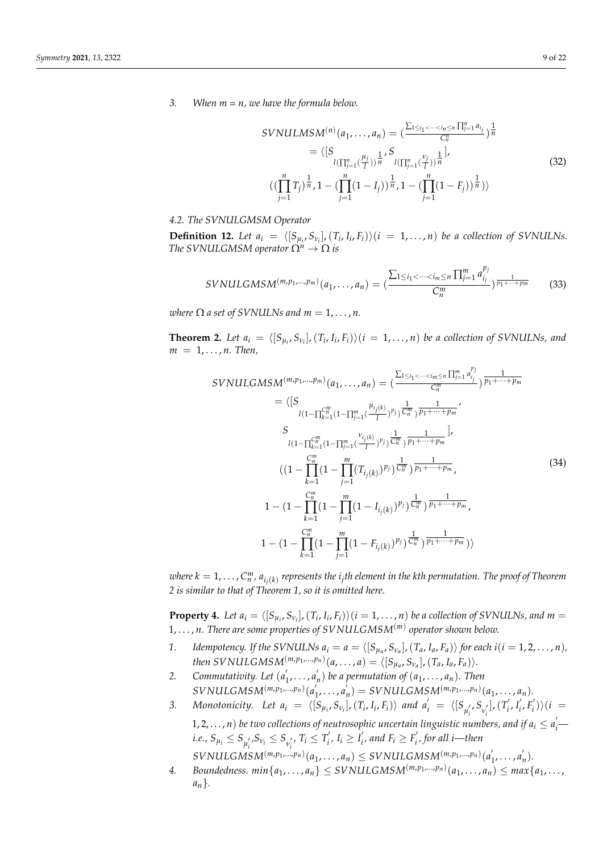*3. When m = n, we have the formula below.*

$$
SVMULMSM^{(n)}(a_1, ..., a_n) = \left(\frac{\sum_{1 \le i_1 < \dots < i_n \le n} \prod_{j=1}^n a_{i_j}}{C_n^n}\right)^{\frac{1}{n}}
$$
\n
$$
= \left\langle \left[S_{l\left(\prod_{j=1}^n \binom{\mu_j}{l}\right)} \frac{1}{n} S_{l\left(\prod_{j=1}^n \binom{\nu_j}{l}\right)} \frac{1}{n} \right],
$$
\n
$$
\left(\left(\prod_{j=1}^n T_j\right)^{\frac{1}{n}}, 1 - \left(\prod_{j=1}^n (1 - I_j)\right)^{\frac{1}{n}}, 1 - \left(\prod_{j=1}^n (1 - F_j)\right)^{\frac{1}{n}}\right)\right\}
$$
\n
$$
(32)
$$

*pj*

### *4.2. The SVNULGMSM Operator*

**Definition 12.** Let  $a_i = \langle [S_{\mu_i}, S_{\nu_i}], (T_i, I_i, F_i) \rangle (i = 1, ..., n)$  be a collection of SVNULNs. *The SVNULGMSM operator*  $\Omega^n \to \Omega$  *is* 

$$
SVMULGMSM^{(m,p_1,...,p_m)}(a_1,...,a_n) = \left(\frac{\sum_{1 \leq i_1 < \dots < i_m \leq n} \prod_{j=1}^m a_{i_j}^{p_j}}{C_n^m}\right)^{\frac{1}{p_1 + \dots + p_m}} \tag{33}
$$

*where*  $\Omega$  *a set of SVNULNs and*  $m = 1, \ldots, n$ .

**Theorem 2.** Let  $a_i = \langle [S_{\mu_i}, S_{\nu_i}], (T_i, I_i, F_i) \rangle (i = 1, ..., n)$  be a collection of SVNULNs, and  $m = 1, \ldots, n$ . Then,

$$
SVMULGMSM^{(m,p_1,...,p_m)}(a_1,...,a_n) = \left(\frac{\sum_{1 \le i_1 < \dots < i_m \le n} \prod_{j=1}^m a_{i_j}^{r_j}}{C_n^m}\right) \frac{1}{p_1 + \dots + p_m}
$$
  
\n
$$
= \left\langle \left[S \frac{l(1 - \prod_{k=1}^m (1 - \prod_{j=1}^m (\frac{\mu_{i_j(k)}}{l}))^{p_j}) \frac{1}{C_n^m}}{p_1 + \dots + p_m} \right] \right\rangle
$$
  
\n
$$
S
$$
  
\n
$$
l(1 - \prod_{k=1}^m (1 - \prod_{j=1}^m (\frac{\mu_{i_j(k)}}{l}))^{p_j}) \frac{1}{C_n^m} \frac{1}{p_1 + \dots + p_m} \right],
$$
  
\n
$$
((1 - \prod_{k=1}^m (1 - \prod_{j=1}^m (T_{i_j(k)})^{p_j}) \frac{1}{C_n^m}) \frac{1}{p_1 + \dots + p_m},
$$
  
\n
$$
1 - (1 - \prod_{k=1}^m (1 - \prod_{j=1}^m (1 - I_{i_j(k)})^{p_j}) \frac{1}{C_n^m}) \frac{1}{p_1 + \dots + p_m},
$$
  
\n
$$
1 - (1 - \prod_{k=1}^m (1 - \prod_{j=1}^m (1 - F_{i_j(k)})^{p_j}) \frac{1}{C_n^m}) \frac{1}{p_1 + \dots + p_m},
$$
  
\n
$$
1 - (1 - \prod_{k=1}^m (1 - \prod_{j=1}^m (1 - F_{i_j(k)})^{p_j}) \frac{1}{C_n^m}) \frac{1}{p_1 + \dots + p_m})\right\rangle
$$

 $\alpha$  *where k*  $= 1, \ldots, C_n^m$ *,*  $a_{i_j(k)}$  *represents the*  $i_j$ *th element in the kth permutation. The proof of Theorem 2 is similar to that of Theorem 1, so it is omitted here.*

**Property 4.** Let  $a_i = \langle [S_{\mu_i}, S_{\nu_i}], (T_i, I_i, F_i) \rangle (i = 1, ..., n)$  be a collection of SVNULNs, and  $m =$ 1, . . . , *n. There are some properties of SVNULGMSM*(*m*) *operator shown below.*

- 1. Idempotency. If the SVNULNs  $a_i = a = \langle [S_{\mu_a}, S_{\nu_a}], (T_a, I_a, F_a) \rangle$  for each  $i(i = 1, 2, ..., n)$ ,  $then \textit{SVMULGMSM}^{(m,p_1,...,p_n)}(a,...,a) = \langle [S_{\mu_a}, S_{\nu_a}], (T_a, I_a, F_a) \rangle.$
- *2. Commutativity. Let* (*a* 0  $\frac{1}{1}, \ldots, a'_{n}$  $n(n)$  be a permutation of  $(a_1, \ldots, a_n)$ . Then  $SVMULGMSM<sup>(m,p_1,...,p_n)</sup>(a<sup>l</sup>)$  $'_{1}, \ldots, a'_{n}$  $b_n$ <sup>'</sup>) = *SVNULGMSM*<sup> $(m, p_1, ..., p_n)$ </sup> $(a_1, ..., a_n)$ *.*
- *3. Monotonicity. Let a<sup>i</sup>* = h[*Sµ<sup>i</sup>* , *Sν<sup>i</sup>* ],(*T<sup>i</sup>* , *Ii* , *Fi*)i *and a* 0 *<sup>i</sup>* = h[*S µ* 0 *i* , *S ν* 0 *i* ],(*T* 0  $\int_i', I_i'$  $\int_i'$ ,  $F_i'$  $\binom{i}{i}$  $\binom{i}{i}$ 1, 2, . . . , *n*) be two collections of neutrosophic uncertain linguistic numbers, and if  $a_i \le a'_i$ *i.e.,*  $S_{\mu_i} \leq S_{\mu'_i}$ ,  $S_{\nu_i} \leq S_{\nu'_i}$ ,  $T_i \leq T'_i$  $I'_i, I_i \geq I'_i$  $F_i$ , and  $F_i \geq F_i'$ *i , for all i—then*

 $\frac{1}{2}$  *s s s s s i v*<sub>*i*</sub> *i*</sup> *i i i i s s s s i m*<sub>*s*</sub> *m*<sub>*i*</sub> *m*<sub>*n*</sub> *i m*<sub>*i*</sub> *<i>m*<sub>*i*</sub>  $n'_{1}, \ldots, n'_{n}$ *n* )*.*

 $4.$  *Boundedness. min* $\{a_1, \ldots, a_n\} \leq SVNULGMSM^{(m,p_1,\ldots,p_n)}(a_1, \ldots, a_n) \leq max\{a_1, \ldots, a_n\}$ *an*}*.*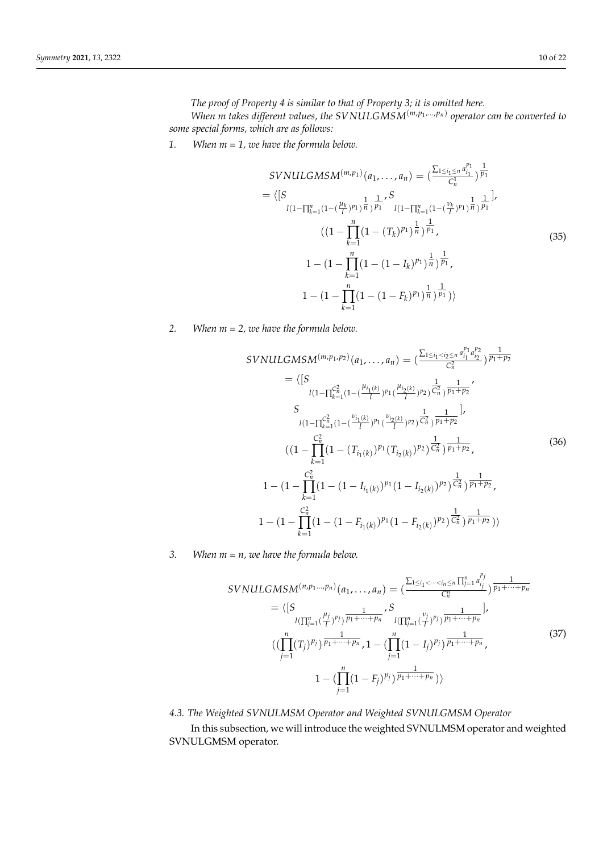*The proof of Property 4 is similar to that of Property 3; it is omitted here.*

*When m takes different values, the SVNULGMSM*(*m*,*p*<sup>1</sup> ,...,*pn*) *operator can be converted to some special forms, which are as follows:*

*1. When m = 1, we have the formula below.*

$$
SVMULGMSM^{(m,p_1)}(a_1, ..., a_n) = \left(\frac{\sum_{1 \le i_1 \le n} a_{i_1}^{p_1}}{C_n^1}\right)^{\frac{1}{p_1}}
$$
  
\n
$$
= \left\langle \left[S_{l(1-\prod_{k=1}^n (1-(\frac{\mu_k}{l})^{p_1})^{\frac{1}{n}})^\frac{1}{p_1}}\right]_{l(1-\prod_{k=1}^n (1-(\frac{\nu_k}{l})^{p_1})^{\frac{1}{n}})^\frac{1}{p_1}}\right\rangle
$$
  
\n
$$
\left((1-\prod_{k=1}^n (1-(T_k)^{p_1})^{\frac{1}{n}})^{\frac{1}{p_1}},\right)
$$
  
\n
$$
1 - (1-\prod_{k=1}^n (1-(1-I_k)^{p_1})^{\frac{1}{n}})^{\frac{1}{p_1}},
$$
  
\n
$$
1 - (1-\prod_{k=1}^n (1-(1-F_k)^{p_1})^{\frac{1}{n}})^{\frac{1}{p_1}})\right\rangle
$$
  
\n(35)

*2. When m = 2, we have the formula below.*

$$
SVMULGMSM^{(m,p_1,p_2)}(a_1, ..., a_n) = \left(\frac{\sum_{1 \le i_1 < i_2 \le n} a_{i_1}^{p_1} a_{i_2}^{p_2}}{C_n^2}\right) \frac{1}{p_1 + p_2}
$$
\n
$$
= \left\langle \left[S_{\ell_1} \left(1 - \prod_{k=1}^{C_n^2} (1 - \left(\frac{\mu_{i_1(k)}}{l})^{p_1} \left(\frac{\mu_{i_2(k)}}{l}\right)^{p_2}\right) \frac{1}{C_n^2}\right) \frac{1}{p_1 + p_2} \right\rangle
$$
\n
$$
S_{\ell_1} \left(1 - \prod_{k=1}^{C_n^2} (1 - \left(\frac{\nu_{i_1(k)}}{l})^{p_1} \left(\frac{\nu_{i_2(k)}}{l}\right)^{p_2}\right) \frac{1}{C_n^2}\right) \frac{1}{p_1 + p_2}\right],
$$
\n
$$
\left(1 - \prod_{k=1}^{C_n^2} (1 - \left(T_{i_1(k)})^{p_1} \left(T_{i_2(k)}\right)^{p_2}\right) \frac{1}{C_n^2}\right) \frac{1}{p_1 + p_2},
$$
\n
$$
1 - \left(1 - \prod_{k=1}^{C_n^2} (1 - \left(1 - I_{i_1(k)})^{p_1} \left(1 - I_{i_2(k)}\right)^{p_2}\right) \frac{1}{C_n^2}\right) \frac{1}{p_1 + p_2},
$$
\n
$$
1 - \left(1 - \prod_{k=1}^{C_n^2} (1 - \left(1 - F_{i_1(k)})^{p_1} \left(1 - F_{i_2(k)}\right)^{p_2}\right) \frac{1}{C_n^2}\right) \frac{1}{p_1 + p_2}\right)
$$
\n
$$
(36)
$$

*3. When m = n, we have the formula below.*

$$
SVMULGMSM^{(n,p_1...,p_n)}(a_1,...,a_n) = \left(\frac{\sum_{1 \le i_1 < \dots < i_n \le n} \prod_{j=1}^n a_{i_j}^{p_j}}{C_n^n}\right) \frac{1}{p_1 + \dots + p_n}
$$
\n
$$
= \left\langle \left[S_{l(\prod_{j=1}^n (\frac{\mu_j}{l})^p)} \frac{1}{p_1 + \dots + p_n} \right]^S_{l(\prod_{j=1}^n (\frac{\nu_j}{l})^p)} \frac{1}{p_1 + \dots + p_n} \right],
$$
\n
$$
\left(\left(\prod_{j=1}^n (T_j)^{p_j}\right) \frac{1}{p_1 + \dots + p_n}, 1 - \left(\prod_{j=1}^n (1 - I_j)^{p_j}\right) \frac{1}{p_1 + \dots + p_n}, \right)
$$
\n
$$
1 - \left(\prod_{j=1}^n (1 - F_j)^{p_j}\right) \frac{1}{p_1 + \dots + p_n}\right) \right\}
$$
\n
$$
(37)
$$

# *4.3. The Weighted SVNULMSM Operator and Weighted SVNULGMSM Operator*

In this subsection, we will introduce the weighted SVNULMSM operator and weighted SVNULGMSM operator.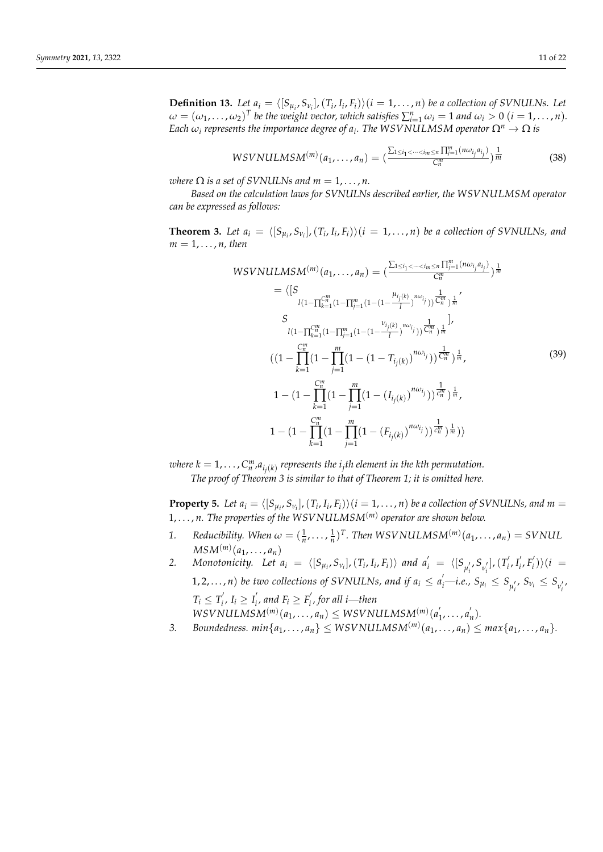**Definition 13.** Let  $a_i = \langle [S_{\mu_i}, S_{\nu_i}], (T_i, I_i, F_i) \rangle (i = 1, ..., n)$  be a collection of SVNULNs. Let  $\omega = (\omega_1, \dots, \omega_2)^T$  be the weight vector, which satisfies  $\sum_{i=1}^n \omega_i = 1$  and  $\omega_i > 0$   $(i = 1, \dots, n)$ . *Each*  $\omega_i$  *represents the importance degree of*  $a_i$ *. The WSVNULMSM operator*  $\Omega^n \to \Omega$  *is* 

$$
WSVNULLMSM^{(m)}(a_1,\ldots,a_n)=(\frac{\sum_{1\leq i_1<\cdots
$$

*where*  $\Omega$  *is a set of SVNULNs and*  $m = 1, \ldots, n$ *.* 

*Based on the calculation laws for SVNULNs described earlier, the WSVNULMSM operator can be expressed as follows:*

**Theorem 3.** Let  $a_i = \langle [S_{\mu_i}, S_{\nu_i}], (T_i, I_i, F_i) \rangle (i = 1, ..., n)$  be a collection of SVNULNs, and  $m = 1, \ldots, n$ , then

$$
WSVNULLMSM^{(m)}(a_1,...,a_n) = \left(\frac{\sum_{1 \le i_1 < \dots < i_m \le n} \prod_{j=1}^m (n\omega_{i_j} a_{i_j})}{C_n^m}\right) \frac{1}{m}
$$
\n
$$
= \left\langle \left[S\right]_{l\left(1 - \prod_{k=1}^m (1 - \prod_{j=1}^m (1 - (1 - \frac{\mu_{i_j(k)}}{l})) \frac{1}{C_n^m}) \frac{1}{m}}\right\rangle
$$
\n
$$
S
$$
\n
$$
l\left(1 - \prod_{k=1}^m (1 - \prod_{j=1}^m (1 - (1 - \frac{\nu_{i_j(k)}}{l})) \frac{1}{C_n^m}) \frac{1}{m}}\right) \cdot
$$
\n
$$
\left(\left(1 - \prod_{k=1}^m (1 - \prod_{j=1}^m (1 - (1 - T_{i_j(k)})^{n\omega_{i_j}})) \frac{1}{C_n^m}\right) \frac{1}{m},
$$
\n
$$
1 - \left(1 - \prod_{k=1}^m (1 - \prod_{j=1}^m (1 - (I_{i_j(k)})^{n\omega_{i_j}})) \frac{1}{C_n^m}\right) \frac{1}{m},
$$
\n
$$
1 - \left(1 - \prod_{k=1}^m (1 - \prod_{j=1}^m (1 - (F_{i_j(k)})^{n\omega_{i_j}})) \frac{1}{C_n^m}\right) \frac{1}{m},
$$
\n
$$
1 - \left(1 - \prod_{k=1}^m (1 - \prod_{j=1}^m (1 - (F_{i_j(k)})^{n\omega_{i_j}})) \frac{1}{C_n^m}\right) \frac{1}{m}}\right)
$$
\n(39)

 $\omega$ here  $k = 1, \ldots, C_{n}^{m},$ a $_{i_{j}(k)}$  represents the  $i_{j}$ th element in the kth permutation. *The proof of Theorem 3 is similar to that of Theorem 1; it is omitted here.*

**Property 5.** Let  $a_i = \langle [S_{\mu_i}, S_{\nu_i}], (T_i, I_i, F_i) \rangle (i = 1, ..., n)$  be a collection of SVNULNs, and  $m =$ 1, . . . , *n. The properties of the WSVNULMSM*(*m*) *operator are shown below.*

- *i*. *Reducibility. When*  $\omega = (\frac{1}{n}, \dots, \frac{1}{n})^T$ . Then WSVNULMSM<sup>(*m*)</sup>( $a_1, \dots, a_n$ ) = SVNUL  $MSM<sup>(m)</sup>(a_1, \ldots, a_n)$
- *2. Monotonicity. Let a<sup>i</sup>* = h[*Sµ<sup>i</sup>* , *Sν<sup>i</sup>* ],(*T<sup>i</sup>* , *Ii* , *Fi*)i *and a* 0 *<sup>i</sup>* = h[*S µ* 0 , *S ν* 0 ],(*T* 0 1, 2,..., *n*) be two collections of SVNULNs, and if  $a_i \le a'_i$  -*i.e.*,  $S_{\mu_i} \le S_{\mu'_i}$ ,  $S_{\nu_i} \le S_{\nu'_i}$ ,  $\int_i', I_i'$  $E_i', F_i'$  $\binom{i}{i}$  $\binom{i}{i}$  =  $T_i \leq T'_i$  $I'_i, I_i \geq I'_i$  $\int_i$ , and  $F_i \geq F_i'$ *i , for all i—then*

 $WSV\nNULMSM<sup>(m)</sup>(a<sub>1</sub>,..., a<sub>n</sub>) \leq WSV\nNULMSM<sup>(m)</sup>(a<sup>2</sup>)$  $n'_1, \ldots, n'_n$ *n* )*.*

3. *Boundedness.*  $min\{a_1, \ldots, a_n\} \le \text{WSVNULLMSM}^{(m)}(a_1, \ldots, a_n) \le \text{max}\{a_1, \ldots, a_n\}.$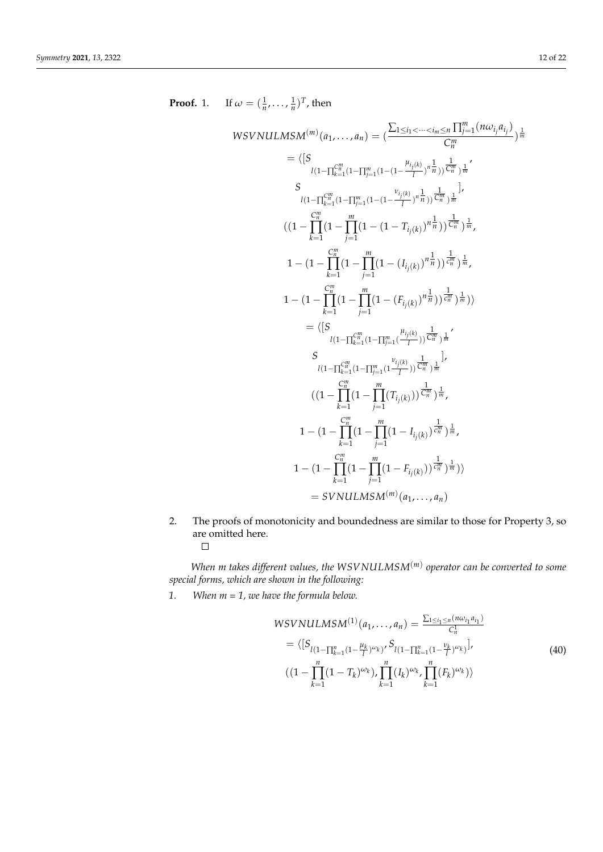Proof. 1. If 
$$
\omega = (\frac{1}{n}, ..., \frac{1}{n})^T
$$
, then  
\n
$$
WSVNULLMSM^{(m)}(a_1, ..., a_n) = (\frac{\sum_{1 \le i_1 < ..., i_m \le n} \prod_{j=1}^m (n\omega_{i_j}a_{i_j})}{C_n^m})^{\frac{1}{m}}
$$
\n
$$
= ([S_{\begin{subarray}{c}1(1-\prod_{k=1}^m (1-\prod_{j=1}^m (1-(1-\frac{\nu_{i_j(k)}}{I}))^{\frac{1}{m}}))^{\frac{1}{m}} \end{subarray})^{\frac{1}{m}}
$$
\n
$$
S_{\begin{subarray}{c}1(1-\prod_{k=1}^m (1-\prod_{j=1}^m (1-(1-\frac{\nu_{i_j(k)}}{I}))^{\frac{1}{m}}))^{\frac{1}{m}} \end{subarray})^{\frac{1}{m}}
$$
\n
$$
((-1-\prod_{k=1}^m (1-\prod_{j=1}^m (1-(1-\frac{\nu_{i_j(k)}}{I}))^{\frac{1}{m}}))^{\frac{1}{m}})^{\frac{1}{m}}
$$
\n
$$
1 - (1-\prod_{k=1}^m (1-\prod_{j=1}^m (1-(\frac{\nu_{i_j(k)}}{I}))^{\frac{1}{m}}))^{\frac{1}{m}}
$$
\n
$$
1 - (1-\prod_{k=1}^m (1-\prod_{j=1}^m (1-(\frac{\nu_{i_j(k)}}{I}))^{\frac{1}{m}}))^{\frac{1}{m}}
$$
\n
$$
1 - (1-\prod_{k=1}^{\frac{m}{m}} (1-\prod_{j=1}^m (1-(\frac{\nu_{i_j(k)}}{I}))^{\frac{1}{m}}))^{\frac{1}{m}}
$$
\n
$$
= ([S_{\begin{subarray}{c}1(1-\prod_{k=1}^m (1-\prod_{j=1}^m (\frac{\nu_{i_j(k)}}{I}))^{\frac{1}{m}})^{\frac{1}{m}} \end{subarray})^{\frac{1}{m}}
$$
\n
$$
S_{\begin{subarray}{c}1(1-\prod_{k=1}^m (1-\prod_{j=1}^m (\frac{\nu_{i_j(k)}}{I}))^{\frac{1}{m}})^{\frac{1}{m}} \end{subarray}}
$$
\n
$$
1 - (1-\prod_{k=1}^{\frac{m}{m}} (1-\prod_{j=1}^m (1
$$

2. The proofs of monotonicity and boundedness are similar to those for Property 3, so are omitted here.  $\Box$ 

*When m takes different values, the WSVNULMSM*(*m*) *operator can be converted to some special forms, which are shown in the following:*

*1. When m = 1, we have the formula below.*

$$
WSVNULLMSM^{(1)}(a_1,...,a_n) = \frac{\sum_{1 \le i_1 \le n} (n\omega_{i_1} a_{i_1})}{C_n^1}
$$
  
=  $\langle [S_{l(1-\prod_{k=1}^n (1-\frac{\mu_k}{l})^{\omega_k})}, S_{l(1-\prod_{k=1}^n (1-\frac{\nu_k}{l})^{\omega_k})}],$   
 $((1-\prod_{k=1}^n (1-T_k)^{\omega_k}), \prod_{k=1}^n (I_k)^{\omega_k}, \prod_{k=1}^n (F_k)^{\omega_k}) \rangle$  (40)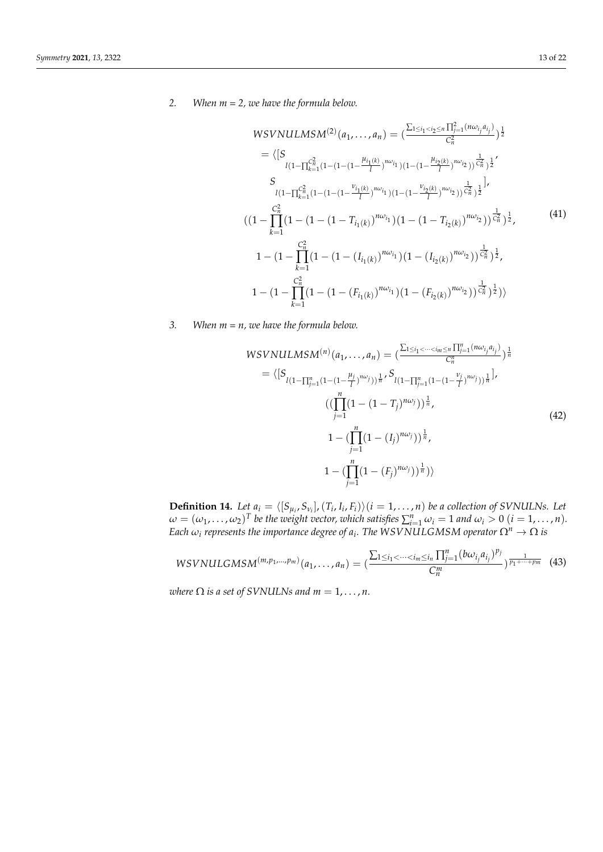### *2. When m = 2, we have the formula below.*

$$
WSVNULMSM^{(2)}(a_1,...,a_n) = \left(\frac{\sum_{1 \le i_1 < i_2 \le n} \prod_{j=1}^2 (n\omega_{i_j} a_{i_j})}{C_n^2}\right)^{\frac{1}{2}}
$$
\n
$$
= \langle [S \frac{l(1-\prod_{k=1}^{C_n^2} (1-(1-(1-\frac{\mu_{i_1(k)}}{l}))^{n\omega_{i_1}})(1-(1-\frac{\mu_{i_2(k)}}{l}))^{n\omega_{i_2}})(\frac{1}{C_n^2}})^{\frac{1}{2}}
$$
\n
$$
S \frac{l(1-\prod_{k=1}^{C_n^2} (1-(1-(1-\frac{\nu_{i_1(k)}}{l}))^{n\omega_{i_1}})(1-(1-\frac{\nu_{i_2(k)}}{l}))^{n\omega_{i_2}})(\frac{1}{C_n^2}})^{\frac{1}{2}}},
$$
\n
$$
((1-\prod_{k=1}^{C_n^2} (1-(1-(1-T_{i_1(k)})^{n\omega_{i_1}})(1-(1-T_{i_2(k)})^{n\omega_{i_2}}))^{\frac{1}{C_n^2}})^{\frac{1}{2}},
$$
\n
$$
1 - (1-\prod_{k=1}^{C_n^2} (1-(1-(I_{i_1(k)})^{n\omega_{i_1}})(1-(I_{i_2(k)})^{n\omega_{i_2}}))^{\frac{1}{C_n^2}})^{\frac{1}{2}},
$$
\n
$$
1 - (1-\prod_{k=1}^{C_n^2} (1-(1-(F_{i_1(k)})^{n\omega_{i_1}})(1-(F_{i_2(k)})^{n\omega_{i_2}}))^{\frac{1}{C_n^2}})^{\frac{1}{2}})
$$

*3. When m = n, we have the formula below.*

$$
WSVNULLMSM^{(n)}(a_1,...,a_n) = \left(\frac{\sum_{1 \le i_1 < \dots < i_m \le n} \prod_{j=1}^n (n\omega_{i_j} a_{i_j})}{C_n^n}\right)^{\frac{1}{n}}
$$
\n
$$
= \langle [S_{l(1-\prod_{j=1}^n (1-(1-\frac{\mu_j}{l})^{n\omega_j}))^{\frac{1}{n}}, S_{l(1-\prod_{j=1}^n (1-(1-\frac{\nu_j}{l})^{n\omega_j}))^{\frac{1}{n}}}] \rangle
$$
\n
$$
\left((\prod_{j=1}^n (1-(1-T_j)^{n\omega_j}))^{\frac{1}{n}}, \right)
$$
\n
$$
1 - (\prod_{j=1}^n (1-(I_j)^{n\omega_j}))^{\frac{1}{n}},
$$
\n
$$
1 - (\prod_{j=1}^n (1-(F_j)^{n\omega_j}))^{\frac{1}{n}})\rangle
$$
\n
$$
(42)
$$

**Definition 14.** Let  $a_i = \langle [S_{\mu_i}, S_{\nu_i}], (T_i, I_i, F_i) \rangle (i = 1, ..., n)$  be a collection of SVNULNs. Let  $\omega = (\omega_1, \dots, \omega_2)^T$  be the weight vector, which satisfies  $\sum_{i=1}^n \omega_i = 1$  and  $\omega_i > 0$   $(i = 1, \dots, n)$ . *Each*  $\omega_i$  represents the importance degree of  $a_i$ . The WSVNULGMSM operator  $\Omega^n \to \Omega$  is

$$
WSVNULLGMSM^{(m,p_1,...,p_m)}(a_1,...,a_n)=(\frac{\sum_{1\leq i_1<\cdots(43)
$$

*where*  $\Omega$  *is a set of SVNULNs and*  $m = 1, \ldots, n$ *.*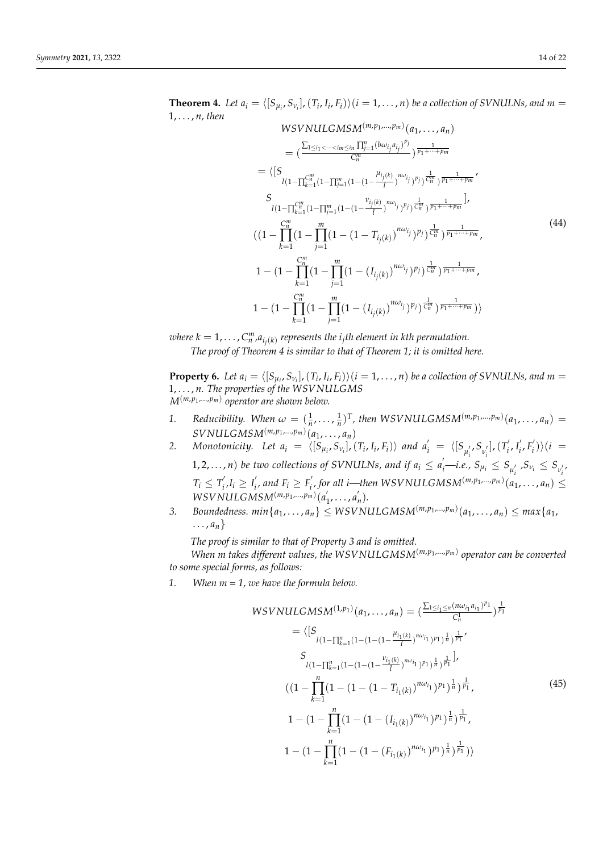**Theorem 4.** Let  $a_i = \langle [S_{\mu_i}, S_{\nu_i}], (T_i, I_i, F_i) \rangle (i = 1, ..., n)$  be a collection of SVNULNs, and  $m =$ 1, . . . , *n, then*  $WSVNULGMSM<sup>(m,p<sub>1</sub>,...,p<sub>m</sub>)</sup>(a<sub>1</sub>,...,a<sub>n</sub>)$  $= \left( \frac{\sum_{1 \le i_1 < \dots < i_m \le i_n} \prod_{j=1}^n (b\omega_{i_j} a_{i_j})^{p_j}}{C^m} \right)$  $\frac{C_m}{C_m^m}$   $\left(\frac{b\omega_{i_j}a_{i_j}}{p_1+\cdots+p_m}\right)$  $= \langle [S$  $l(1-\prod_{k=1}^{C_m^m}(1-\prod_{j=1}^m(1-(1-\frac{\mu_{i_j(k)}}{l}))$  $\left(\frac{j(k)}{l}\right)^{n\omega} i_j \, \left(\frac{1}{l}\right)^n j \, \left(\frac{1}{l^m}\right) \frac{1}{p_1 + \dots + p_m}$ *S*  $l(1-\prod_{k=1}^{C_m^m}(1-\prod_{j=1}^m(1-(1-\frac{\nu_{i_j(k)}}{l}))$  $\left[\frac{1}{(k)}\right]^{n\omega} i^j \, y^p j \, \left[\frac{1}{C_n^m}\right] \frac{1}{p_1 + \cdots + p_m}$  $((1 -$ *C m n* ∏ *k*=1  $(1$ *m* ∏ *j*=1  $\int_0^1 (1-(1-T_{i_j(k)})^{n\omega_{i_j}})^{p_j} \frac{1}{C_n^m} \right)^\frac{1}{p_1+\cdots +p_m},$  $1 - (1 -$ *C m n* ∏ *k*=1  $(1$ *m* ∏ *j*=1  $\int_0^{\infty} (1-(I_{i_j(k)})^{n\omega_{i_j}})^{p_j} \frac{1}{c_n^m} \frac{1}{p_1+\cdots +p_m}$  ,  $1 - (1 -$ *C m n* ∏ *k*=1  $(1$ *m* ∏ *j*=1  $\ket{(1-(I_{i_j(k)})^{n\omega_{i_j}})^{p_j})^{\frac{1}{C_n^m}})^{\frac{1}{p_1+\cdots +p_m}})}$ (44)

 $\omega$ here  $k = 1, \ldots, C_n^m$ , $a_{i_j(k)}$  represents the  $i_j$ th element in kth permutation. *The proof of Theorem 4 is similar to that of Theorem 1; it is omitted here.*

**Property 6.** Let  $a_i = \langle [S_{\mu_i}, S_{\nu_i}], (T_i, I_i, F_i) \rangle (i = 1, ..., n)$  be a collection of SVNULNs, and  $m =$ 1, . . . , *n. The properties of the WSVNULGMS M*(*m*,*p*<sup>1</sup> ,...,*pm*) *operator are shown below.*

- 1. Reducibility. When  $\omega = (\frac{1}{n}, \dots, \frac{1}{n})^T$ , then WSVNULGMSM<sup>(*m*,*p*<sub>1</sub>,...,*p*<sub>*m*</sub>)</sup>( $a_1, \dots, a_n$ ) =  $SWNULGMSM^{(m,p_1,...,p_m)}(a_1,...,a_n)$
- *2. Monotonicity. Let a<sup>i</sup>* = h[*Sµ<sup>i</sup>* , *Sν<sup>i</sup>* ],(*T<sup>i</sup>* , *Ii* , *Fi*)i *and a* 0 *<sup>i</sup>* = h[*S µ* 0 , *S ν* 0 ],(*T* 0 1, 2,..., *n*) be two collections of SVNULNs, and if  $a_i \le a'_i$  -*i.e.*,  $S_{\mu_i} \le S_{\mu'_i}$ ,  $S_{\nu_i} \le S_{\nu'_i}$  $\int_i', I_i'$  $E_i', F_i'$  $\binom{i}{i}$ )  $(i =$  $T_i \leq T'_i$  $I'_i, I_i \geq I'_i$  $\int_i$ , and  $F_i \geq F'_i$  $\mathcal{L}_i'$ , for all *i*—then WSVNULGMSM<sup>(*m*,*p*1,...,*pm*)( $a_1$ ,..., $a_n$ ) ≤</sup>  $WSVNULGMSM$ <sup> $(m, p_1, \ldots, p_m)$ <sub>(a</sub><sup> $(n, p_1, \ldots, p_m)$ </sup></sup>  $'_{1}, \ldots, a'_{n}$ *n* )*.*
- 3. *Boundedness.*  $min\{a_1, \ldots, a_n\} \le \text{WSVNULGMSM}^{(m, p_1, \ldots, p_m)} (a_1, \ldots, a_n) \le \text{max}\{a_1, \ldots, a_n\}$  $\ldots$ ,  $a_n$ }

*The proof is similar to that of Property 3 and is omitted.*

*When m takes different values, the WSVNULGMSM*(*m*,*p*<sup>1</sup> ,...,*pm*) *operator can be converted to some special forms, as follows:*

*1. When m = 1, we have the formula below.*

$$
WSVNULGMSM^{(1,p_1)}(a_1, ..., a_n) = \left(\frac{\sum_{1 \le i_1 \le n} (n\omega_{i_1} a_{i_1})^{p_1}}{C_n^1}\right)^{\frac{1}{p_1}}
$$
  
\n
$$
= \langle [S_{l(1-\prod_{k=1}^n (1-(1-(1-\frac{\nu_{i_1(k)}}{l})^{n\omega_{i_1}})^{p_1})^{\frac{1}{n}})^{\frac{1}{p_1}}},
$$
  
\n
$$
S_{l(1-\prod_{k=1}^n (1-(1-(1-\frac{\nu_{i_1(k)}}{l})^{n\omega_{i_1}})^{p_1})^{\frac{1}{n}})^{\frac{1}{p_1}}},
$$
  
\n
$$
((1-\prod_{k=1}^n (1-(1-(1-\Gamma_{i_1(k)})^{n\omega_{i_1}})^{p_1})^{\frac{1}{n}})^{\frac{1}{p_1}},
$$
  
\n
$$
1 - (1-\prod_{k=1}^n (1-(1-(\Gamma_{i_1(k)})^{n\omega_{i_1}})^{p_1})^{\frac{1}{n}})^{\frac{1}{p_1}},
$$
  
\n
$$
1 - (1-\prod_{k=1}^n (1-(1-(\Gamma_{i_1(k)})^{n\omega_{i_1}})^{p_1})^{\frac{1}{n}})^{\frac{1}{p_1}}))
$$
  
\n(45)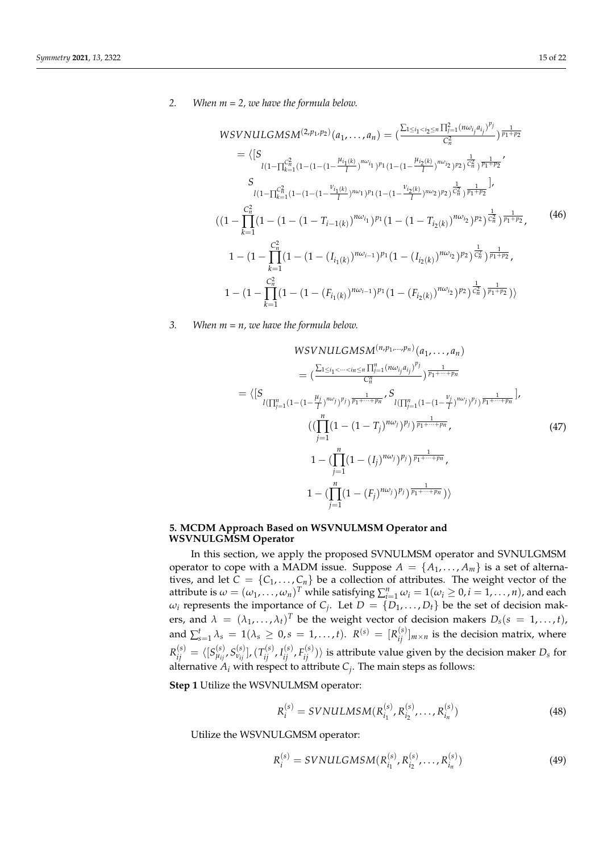*2. When m = 2, we have the formula below.*

$$
WSVNULGMSM^{(2,p_1,p_2)}(a_1, ..., a_n) = \left(\frac{\sum_{1 \le i_1 < i_2 \le n} \prod_{j=1}^2 (n\omega_{i_j} a_{i_j})^{p_j}}{c_n^2}\right) \frac{1}{p_1 + p_2}
$$
\n
$$
= \left\langle \left[S_{l(1-\prod_{k=1}^{C_n^2} (1-(1-(1-\frac{\mu_{i_1(k)}}{l}))^{n\omega_{i_1}})^{p_1} (1-(1-\frac{\mu_{i_2(k)}}{l}))^{n\omega_{i_2}})^{p_2}\right) \frac{1}{c_n^2} \frac{1}{p_1 + p_2},
$$
\n
$$
S_{l(1-\prod_{k=1}^{C_n^2} (1-(1-(1-\frac{\nu_{i_1(k)}}{l}))^{n\omega_{i_1}})^{p_1} (1-(1-\frac{\nu_{i_2(k)}}{l}))^{n\omega_{i_2}})^{p_2}\right) \frac{1}{c_n^2} \frac{1}{p_1 + p_2}}.
$$
\n
$$
\left((1-\prod_{k=1}^{C_n^2} (1-(1-(1-T_{i-1(k)})^{n\omega_{i_1}})^{p_1} (1-(1-T_{i_2(k)})^{n\omega_{i_2}})^{p_2}\right) \frac{1}{c_n^2} \frac{1}{p_1 + p_2},
$$
\n
$$
1-(1-\prod_{k=1}^{C_n^2} (1-(1-(1-(I_{i_1(k)})^{n\omega_{i-1}})^{p_1} (1-(I_{i_2(k)})^{n\omega_{i_2}})^{p_2}) \frac{1}{c_n^2} \frac{1}{p_1 + p_2},
$$
\n
$$
1-(1-\prod_{k=1}^{C_n^2} (1-(1-(F_{i_1(k)})^{n\omega_{i-1}})^{p_1} (1-(F_{i_2(k)})^{n\omega_{i_2}})^{p_2}) \frac{1}{c_n^2} \frac{1}{p_1 + p_2})
$$
\n
$$
(1-\prod_{k=1}^{C_n^2} (1-(1-(F_{i_1(k)})^{n\omega_{i-1}})^{p_1} (1-(F_{i_2(k)})^{n\omega_{i_2}})^{p_2}) \frac{1}{c_n^2} \frac{1}{p_1 + p_2})
$$

*3. When m = n, we have the formula below.*

$$
WSVNULGMSM^{(n,p_1,...,p_n)}(a_1,...,a_n)
$$
\n
$$
= \left(\frac{\sum_{1 \le i_1 < \dots < i_n \le n} \prod_{j=1}^n (n\omega_{i_j}a_{i_j})^{p_j}}{C_n^n}\right) \frac{1}{p_1 + \dots + p_n}
$$
\n
$$
= \left\{\left[S_{l(\prod_{j=1}^n (1 - (1 - \frac{\mu_j}{l})^{n\omega_j})^{p_j}) \frac{1}{p_1 + \dots + p_n}} S_{l(\prod_{j=1}^n (1 - (1 - \frac{\nu_j}{l})^{n\omega_j})^{p_j}) \frac{1}{p_1 + \dots + p_n}}\right],
$$
\n
$$
\left(\left(\prod_{j=1}^n (1 - (1 - T_j)^{n\omega_j})^{p_j}\right) \frac{1}{p_1 + \dots + p_n},\right)
$$
\n
$$
1 - \left(\prod_{j=1}^n (1 - (I_j)^{n\omega_j})^{p_j}\right) \frac{1}{p_1 + \dots + p_n},\right)
$$
\n
$$
1 - \left(\prod_{j=1}^n (1 - (F_j)^{n\omega_j})^{p_j}\right) \frac{1}{p_1 + \dots + p_n})
$$
\n
$$
\left(\frac{n}{n}\right) \left(1 - (F_j)^{n\omega_j}\right) \frac{1}{p_1 + \dots + p_n} \left(\frac{n}{n}\right)
$$
\n
$$
\left(\frac{n}{n}\right) \left(1 - (F_j)^{n\omega_j}\right) \frac{1}{p_1 + \dots + p_n} \left(\frac{n}{n}\right)
$$

### <span id="page-14-0"></span>**5. MCDM Approach Based on WSVNULMSM Operator and WSVNULGMSM Operator**

In this section, we apply the proposed SVNULMSM operator and SVNULGMSM operator to cope with a MADM issue. Suppose  $A = \{A_1, \ldots, A_m\}$  is a set of alternatives, and let  $C = \{C_1, \ldots, C_n\}$  be a collection of attributes. The weight vector of the attribute is  $\omega = (\omega_1, \dots, \omega_n)^T$  while satisfying  $\sum_{i=1}^n \omega_i = 1(\omega_i \ge 0, i = 1, \dots, n)$ , and each  $\omega_i$  represents the importance of *C*<sub>*j*</sub>. Let  $D = \{D_1, \ldots, D_t\}$  be the set of decision makers, and  $\lambda = (\lambda_1, \ldots, \lambda_t)^T$  be the weight vector of decision makers  $D_s(s = 1, \ldots, t)$ , and  $\sum_{s=1}^t \lambda_s = 1(\lambda_s \geq 0, s = 1, \ldots, t)$ .  $R^{(s)} = [R^{(s)}_{ij}]_{m \times n}$  is the decision matrix, where  $R^{(s)}_{ij}=\langle [S^{(s)}_{\mu_{ij}},S^{(s)}_{\nu_{ij}}], (T^{(s)}_{ij},I^{(s)}_{ij},F^{(s)}_{ij})\rangle$  is attribute value given by the decision maker  $D_s$  for alternative  $A_i$  with respect to attribute  $C_j$ . The main steps as follows:

**Step 1** Utilize the WSVNULMSM operator:

$$
R_i^{(s)} = SVMULMSM(R_{i_1}^{(s)}, R_{i_2}^{(s)}, \dots, R_{i_n}^{(s)})
$$
\n(48)

Utilize the WSVNULGMSM operator:

$$
R_i^{(s)} = SVMULGMSM(R_{i_1}^{(s)}, R_{i_2}^{(s)}, \dots, R_{i_n}^{(s)})
$$
\n(49)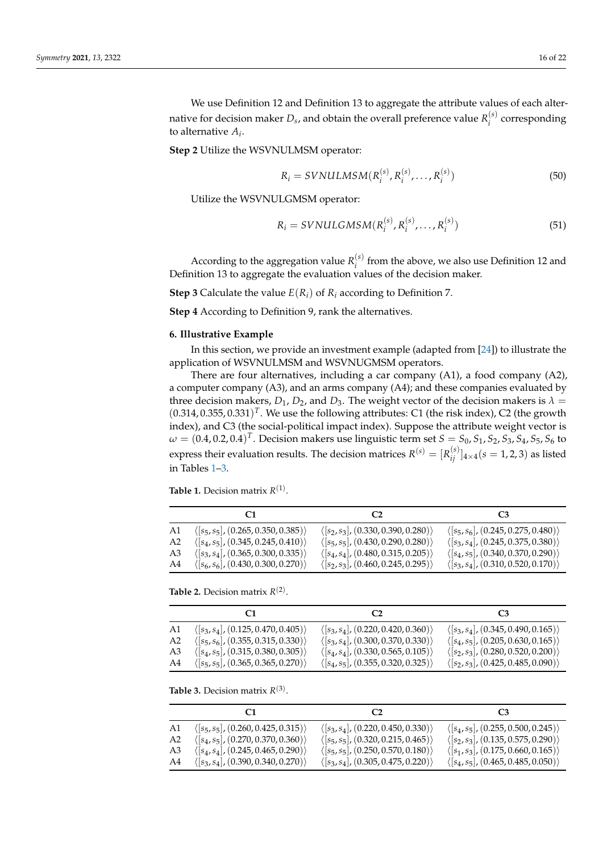We use Definition 12 and Definition 13 to aggregate the attribute values of each alternative for decision maker  $D_s$ , and obtain the overall preference value  $R_i^{(s)}$ *i* corresponding to alternative *A<sup>i</sup>* .

**Step 2** Utilize the WSVNULMSM operator:

$$
R_{i} = SVNULMSM(R_{i}^{(s)}, R_{i}^{(s)}, \dots, R_{i}^{(s)})
$$
\n(50)

Utilize the WSVNULGMSM operator:

$$
R_{i} = SVNULGMSM(R_{i}^{(s)}, R_{i}^{(s)}, \dots, R_{i}^{(s)})
$$
\n(51)

According to the aggregation value  $R_i^{(s)}$  $i_j^{(5)}$  from the above, we also use Definition 12 and Definition 13 to aggregate the evaluation values of the decision maker.

**Step 3** Calculate the value  $E(R_i)$  of  $R_i$  according to Definition 7.

**Step 4** According to Definition 9, rank the alternatives.

#### <span id="page-15-0"></span>**6. Illustrative Example**

In this section, we provide an investment example (adapted from [\[24\]](#page-21-5)) to illustrate the application of WSVNULMSM and WSVNUGMSM operators.

There are four alternatives, including a car company (A1), a food company (A2), a computer company (A3), and an arms company (A4); and these companies evaluated by three decision makers,  $D_1$ ,  $D_2$ , and  $D_3$ . The weight vector of the decision makers is  $\lambda =$  $(0.314, 0.355, 0.331)^T$ . We use the following attributes: C1 (the risk index), C2 (the growth index), and C3 (the social-political impact index). Suppose the attribute weight vector is  $\omega = (0.4, 0.2, 0.4)^T$ . Decision makers use linguistic term set  $S = S_0$ ,  $S_1$ ,  $S_2$ ,  $S_3$ ,  $S_4$ ,  $S_5$ ,  $S_6$  to express their evaluation results. The decision matrices  $R^{(s)} = [R^{(s)}_{ij}]_{4\times4}$   $(s = 1, 2, 3)$  as listed in Tables [1](#page-15-1)[–3.](#page-15-2)

<span id="page-15-1"></span>**Table 1.** Decision matrix  $R^{(1)}$ .

|                | C.                                                  | C2                                                  |                                                     |
|----------------|-----------------------------------------------------|-----------------------------------------------------|-----------------------------------------------------|
| A1             | $\langle [s_5, s_5], (0.265, 0.350, 0.385) \rangle$ | $\langle [s_2, s_3], (0.330, 0.390, 0.280) \rangle$ | $\langle [s_5, s_6], (0.245, 0.275, 0.480) \rangle$ |
| A <sub>2</sub> | $\langle [s_4, s_5], (0.345, 0.245, 0.410) \rangle$ | $\langle [s_5, s_5], (0.430, 0.290, 0.280) \rangle$ | $\langle [s_3, s_4], (0.245, 0.375, 0.380) \rangle$ |
| A <sub>3</sub> | $\langle [s_3, s_4], (0.365, 0.300, 0.335) \rangle$ | $\langle [s_4, s_4], (0.480, 0.315, 0.205) \rangle$ | $\langle [s_4, s_5], (0.340, 0.370, 0.290) \rangle$ |
| A4             | $\langle [s_6, s_6], (0.430, 0.300, 0.270) \rangle$ | $\langle [s_2, s_3], (0.460, 0.245, 0.295) \rangle$ | $\langle [s_3, s_4], (0.310, 0.520, 0.170) \rangle$ |

**Table 2.** Decision matrix  $R^{(2)}$ .

| A1             | $\langle [s_3, s_4], (0.125, 0.470, 0.405) \rangle$ | $\langle [s_3, s_4], (0.220, 0.420, 0.360) \rangle$ | $\langle [s_3, s_4], (0.345, 0.490, 0.165) \rangle$ |
|----------------|-----------------------------------------------------|-----------------------------------------------------|-----------------------------------------------------|
| A <sub>2</sub> | $\langle [s_5, s_6], (0.355, 0.315, 0.330) \rangle$ | $\langle [s_3, s_4], (0.300, 0.370, 0.330) \rangle$ | $\langle [s_4, s_5], (0.205, 0.630, 0.165) \rangle$ |
| A <sub>3</sub> | $\langle [s_4, s_5], (0.315, 0.380, 0.305) \rangle$ | $\langle [s_4, s_4], (0.330, 0.565, 0.105) \rangle$ | $\langle [s_2, s_3], (0.280, 0.520, 0.200) \rangle$ |
| A4             | $\langle [s_5, s_5], (0.365, 0.365, 0.270) \rangle$ | $\langle [s_4, s_5], (0.355, 0.320, 0.325) \rangle$ | $\langle [s_2, s_3], (0.425, 0.485, 0.090) \rangle$ |

<span id="page-15-2"></span>**Table 3.** Decision matrix  $R^{(3)}$ .

| A1             | $\langle [s_5, s_5], (0.260, 0.425, 0.315) \rangle$ | $\langle [s_3, s_4], (0.220, 0.450, 0.330) \rangle$ | $\langle [s_4, s_5], (0.255, 0.500, 0.245) \rangle$ |
|----------------|-----------------------------------------------------|-----------------------------------------------------|-----------------------------------------------------|
| A <sub>2</sub> | $\langle [s_4, s_5], (0.270, 0.370, 0.360) \rangle$ | $\langle [s_5, s_5], (0.320, 0.215, 0.465) \rangle$ | $\langle [s_2, s_3], (0.135, 0.575, 0.290) \rangle$ |
| A3             | $\langle [s_4, s_4], (0.245, 0.465, 0.290] \rangle$ | $\langle [s_5, s_5], (0.250, 0.570, 0.180) \rangle$ | $\langle [s_1, s_3], (0.175, 0.660, 0.165) \rangle$ |
| A4             | $\langle [s_3, s_4], (0.390, 0.340, 0.270) \rangle$ | $\langle [s_3, s_4], (0.305, 0.475, 0.220) \rangle$ | $\langle [s_4, s_5], (0.465, 0.485, 0.050) \rangle$ |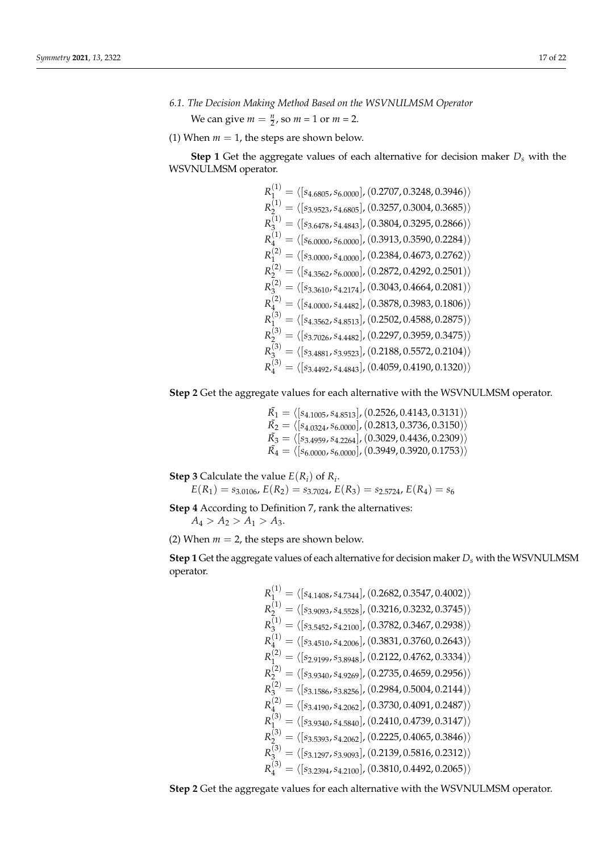<span id="page-16-0"></span>*6.1. The Decision Making Method Based on the WSVNULMSM Operator*

We can give  $m = \frac{n}{2}$ , so  $m = 1$  or  $m = 2$ .

 $\sqrt{1}$ 

(1) When  $m = 1$ , the steps are shown below.

**Step 1** Get the aggregate values of each alternative for decision maker *D<sup>s</sup>* with the WSVNULMSM operator.

$$
R_1^{(1)} = \langle [s_{4.6805}, s_{6.0000}] \rangle (0.2707, 0.3248, 0.3946) \rangle
$$
  
\n
$$
R_2^{(1)} = \langle [s_{3.9523}, s_{4.6805}] \rangle (0.3257, 0.3004, 0.3685) \rangle
$$
  
\n
$$
R_3^{(1)} = \langle [s_{3.6478}, s_{4.4843}] \rangle (0.3804, 0.3295, 0.2866) \rangle
$$
  
\n
$$
R_4^{(1)} = \langle [s_{6.0000}, s_{6.0000}] \rangle (0.3913, 0.3590, 0.2284) \rangle
$$
  
\n
$$
R_4^{(2)} = \langle [s_{3.0000}, s_{4.0000}] \rangle (0.2384, 0.4673, 0.2762) \rangle
$$
  
\n
$$
R_2^{(2)} = \langle [s_{4.3562}, s_{6.0000}] \rangle (0.2872, 0.4292, 0.2501) \rangle
$$
  
\n
$$
R_3^{(2)} = \langle [s_{3.3610}, s_{4.2174}] \rangle (0.3043, 0.4664, 0.2081) \rangle
$$
  
\n
$$
R_4^{(2)} = \langle [s_{4.0000}, s_{4.4482}] \rangle (0.3878, 0.3983, 0.1806) \rangle
$$
  
\n
$$
R_4^{(3)} = \langle [s_{4.3562}, s_{4.8513}] \rangle (0.2502, 0.4588, 0.2875) \rangle
$$
  
\n
$$
R_4^{(3)} = \langle [s_{3.7026}, s_{4.4482}] \rangle (0.2297, 0.3959, 0.3475) \rangle
$$
  
\n
$$
R_3^{(3)} = \langle [s_{3.4881}, s_{3.9523}] \rangle (0.2188, 0.5572, 0.2104) \rangle
$$
  
\n

**Step 2** Get the aggregate values for each alternative with the WSVNULMSM operator.

$$
\begin{array}{l} \tilde{K_1} = \langle [s_{4.1005}, s_{4.8513}], (0.2526, 0.4143, 0.3131) \rangle \\ \tilde{K_2} = \langle [s_{4.0324}, s_{6.0000}], (0.2813, 0.3736, 0.3150) \rangle \\ \tilde{K_3} = \langle [s_{3.4959}, s_{4.2264}], (0.3029, 0.4436, 0.2309) \rangle \\ \tilde{K_4} = \langle [s_{6.0000}, s_{6.0000}], (0.3949, 0.3920, 0.1753) \rangle \end{array}
$$

**Step 3** Calculate the value  $E(R_i)$  of  $R_i$ .

 $E(R_1) = s_{3.0106}$ ,  $E(R_2) = s_{3.7024}$ ,  $E(R_3) = s_{2.5724}$ ,  $E(R_4) = s_6$ 

**Step 4** According to Definition 7, rank the alternatives:

 $A_4 > A_2 > A_1 > A_3.$ 

(2) When  $m = 2$ , the steps are shown below.

**Step 1** Get the aggregate values of each alternative for decision maker *D<sup>s</sup>* with the WSVNULMSM operator.

$$
R_1^{(1)} = \langle [s_{4.1408}, s_{4.7344}], (0.2682, 0.3547, 0.4002) \rangle
$$
  
\n
$$
R_2^{(1)} = \langle [s_{3.9093}, s_{4.5528}], (0.3216, 0.3232, 0.3745) \rangle
$$
  
\n
$$
R_3^{(1)} = \langle [s_{3.5452}, s_{4.2100}], (0.3782, 0.3467, 0.2938) \rangle
$$
  
\n
$$
R_4^{(1)} = \langle [s_{3.4510}, s_{4.2006}], (0.3831, 0.3760, 0.2643) \rangle
$$
  
\n
$$
R_1^{(2)} = \langle [s_{2.9199}, s_{3.8948}], (0.2122, 0.4762, 0.3334) \rangle
$$
  
\n
$$
R_2^{(2)} = \langle [s_{3.9340}, s_{4.9269}], (0.2735, 0.4659, 0.2956) \rangle
$$
  
\n
$$
R_3^{(2)} = \langle [s_{3.1586}, s_{3.8256}], (0.2984, 0.5004, 0.2144) \rangle
$$
  
\n
$$
R_4^{(2)} = \langle [s_{3.4190}, s_{4.2062}], (0.3730, 0.4091, 0.2487) \rangle
$$
  
\n
$$
R_1^{(3)} = \langle [s_{3.9340}, s_{4.5840}], (0.2410, 0.4739, 0.3147) \rangle
$$
  
\n
$$
R_2^{(3)} = \langle [s_{3.1297}, s_{3.9093}], (0.2225, 0.4065, 0.3846) \rangle
$$
  
\n
$$
R_3^{(3)} = \langle [s_{3.1297}, s_{3.9093}], (0.2139, 0.5816, 0.2312) \rangle
$$
  
\n
$$
R_4^{(3)} = \langle [s_{3.2394}, s_{
$$

**Step 2** Get the aggregate values for each alternative with the WSVNULMSM operator.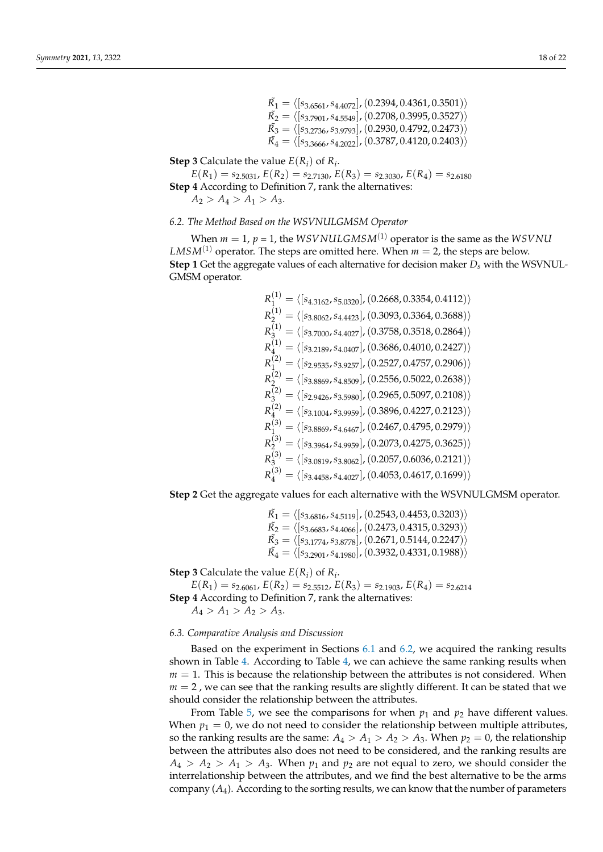$\tilde{R_1} = \langle [s_{3.6561}, s_{4.4072}], (0.2394, 0.4361, 0.3501)\rangle$  $\tilde{R_{2}} = \langle\mathrm{[}s_{3.7901}, s_{4.5549}\mathrm{]} ,\mathrm{(}0.2708, 0.3995, 0.3527)\mathrm{\rangle}$  $\tilde{R_3} = \langle [s_{3.2736},s_{3.9793}],(0.2930,0.4792,0.2473)\rangle$  $\tilde{R_{4}}=\langle\textsc{[s_{3.3666},s_{4.2022}]},\text{(0.3787, 0.4120, 0.2403)}\rangle$ 

**Step 3** Calculate the value  $E(R_i)$  of  $R_i$ .

$$
E(R_1) = s_{2.5031}, E(R_2) = s_{2.7130}, E(R_3) = s_{2.3030}, E(R_4) = s_{2.6180}
$$
  
**Step 4** According to Definition 7, rank the alternatives:  
 $A_2 > A_4 > A_1 > A_3.$ 

### <span id="page-17-0"></span>*6.2. The Method Based on the WSVNULGMSM Operator*

 $(1)$ 

When  $m = 1$ ,  $p = 1$ , the *WSVNULGMSM*<sup>(1)</sup> operator is the same as the *WSVNU LMSM*<sup>(1)</sup> operator. The steps are omitted here. When  $m = 2$ , the steps are below. **Step 1** Get the aggregate values of each alternative for decision maker  $D_s$  with the WSVNUL-GMSM operator.

$$
R_1^{(1)} = \langle [s_{4.3162}, s_{5.0320}] \rangle, (0.2668, 0.3354, 0.4112) \rangle
$$
  
\n
$$
R_2^{(1)} = \langle [s_{3.8062}, s_{4.4423}] \rangle, (0.3093, 0.3364, 0.3688) \rangle
$$
  
\n
$$
R_3^{(1)} = \langle [s_{3.7000}, s_{4.4027}] \rangle, (0.3758, 0.3518, 0.2864) \rangle
$$
  
\n
$$
R_4^{(1)} = \langle [s_{3.2189}, s_{4.0407}] \rangle, (0.3686, 0.4010, 0.2427) \rangle
$$
  
\n
$$
R_1^{(2)} = \langle [s_{2.9535}, s_{3.9257}] \rangle, (0.2527, 0.4757, 0.2906) \rangle
$$
  
\n
$$
R_2^{(2)} = \langle [s_{3.8869}, s_{4.8509}] \rangle, (0.2556, 0.5022, 0.2638) \rangle
$$
  
\n
$$
R_3^{(2)} = \langle [s_{2.9426}, s_{3.5980}] \rangle, (0.2965, 0.5097, 0.2108) \rangle
$$
  
\n
$$
R_4^{(3)} = \langle [s_{3.1004}, s_{3.9959}] \rangle, (0.3896, 0.4227, 0.2123) \rangle
$$
  
\n
$$
R_1^{(3)} = \langle [s_{3.8869}, s_{4.6467}] \rangle, (0.2467, 0.4795, 0.2979) \rangle
$$
  
\n
$$
R_2^{(3)} = \langle [s_{3.3964}, s_{4.9959}] \rangle, (0.2073, 0.4275, 0.3625) \rangle
$$
  
\n
$$
R_3^{(3)} = \langle [s_{3.0819}, s_{3.8062}] \rangle, (0.2057, 0.6036, 0.2121) \rangle
$$

**Step 2** Get the aggregate values for each alternative with the WSVNULGMSM operator.

 $\tilde{R_1} = \langle [s_{3.6816}, s_{4.5119}], (0.2543, 0.4453, 0.3203)\rangle$  $\tilde{R_{2}} = \langle [s_{3.6683}, s_{4.4066}], (0.2473, 0.4315, 0.3293)\rangle$  $\tilde{R_3} = \langle [s_{3.1774}, s_{3.8778}], (0.2671, 0.5144, 0.2247)\rangle$  $\tilde{R_{4}}=\langle\mathrm{[}s_{3.2901},s_{4.1980}],(0.3932,0.4331,0.1988)\rangle$ 

**Step 3** Calculate the value  $E(R_i)$  of  $R_i$ .

 $E(R_1) = s_{2.6061}$ ,  $E(R_2) = s_{2.5512}$ ,  $E(R_3) = s_{2.1903}$ ,  $E(R_4) = s_{2.6214}$ **Step 4** According to Definition 7, rank the alternatives:  $A_4 > A_1 > A_2 > A_3.$ 

# *6.3. Comparative Analysis and Discussion*

Based on the experiment in Sections [6.1](#page-16-0) and [6.2,](#page-17-0) we acquired the ranking results shown in Table [4.](#page-18-0) According to Table [4,](#page-18-0) we can achieve the same ranking results when  $m = 1$ . This is because the relationship between the attributes is not considered. When  $m = 2$ , we can see that the ranking results are slightly different. It can be stated that we should consider the relationship between the attributes.

From Table [5,](#page-19-1) we see the comparisons for when  $p_1$  and  $p_2$  have different values. When  $p_1 = 0$ , we do not need to consider the relationship between multiple attributes, so the ranking results are the same:  $A_4 > A_1 > A_2 > A_3$ . When  $p_2 = 0$ , the relationship between the attributes also does not need to be considered, and the ranking results are  $A_4 > A_2 > A_1 > A_3$ . When  $p_1$  and  $p_2$  are not equal to zero, we should consider the interrelationship between the attributes, and we find the best alternative to be the arms company (*A*4). According to the sorting results, we can know that the number of parameters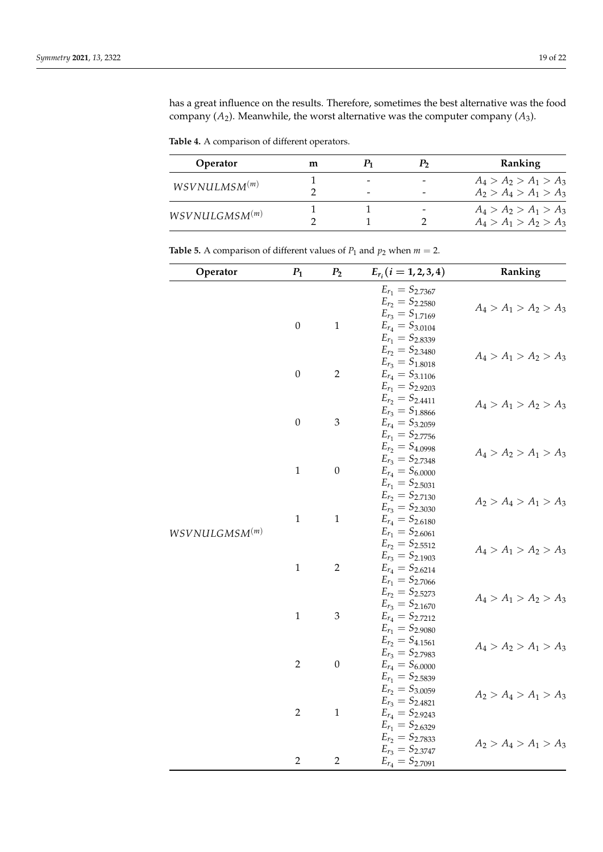has a great influence on the results. Therefore, sometimes the best alternative was the food company  $(A_2)$ . Meanwhile, the worst alternative was the computer company  $(A_3)$ .

<span id="page-18-0"></span>**Table 4.** A comparison of different operators.

| Operator                   | m |  | Ranking                 |
|----------------------------|---|--|-------------------------|
|                            |   |  | $A_4 > A_2 > A_1 > A_3$ |
| WSVNULLMSM <sup>(m)</sup>  |   |  | $A_2 > A_4 > A_1 > A_3$ |
|                            |   |  | $A_4 > A_2 > A_1 > A_3$ |
| WSV NULGMSM <sup>(m)</sup> |   |  | $A_4 > A_1 > A_2 > A_3$ |

| Operator                   | $P_1$            | P <sub>2</sub>   | $E_{r_i}$ $(i = 1, 2, 3, 4)$                     | Ranking                 |
|----------------------------|------------------|------------------|--------------------------------------------------|-------------------------|
|                            |                  |                  | $E_{r_1} = S_{2.7367}$<br>$E_{r_2} = S_{2.2580}$ |                         |
|                            |                  |                  | $E_{r_3} = S_{1.7169}$                           | $A_4 > A_1 > A_2 > A_3$ |
|                            | $\boldsymbol{0}$ | $\mathbf 1$      | $E_{r_4} = S_{3.0104}$                           |                         |
|                            |                  |                  | $E_{r_1} = S_{2.8339}$                           |                         |
|                            |                  |                  | $E_{r_2} = S_{2.3480}$<br>$E_{r_3} = S_{1.8018}$ | $A_4 > A_1 > A_2 > A_3$ |
|                            | $\boldsymbol{0}$ | $\overline{2}$   | $E_{r_4} = S_{3.1106}$                           |                         |
|                            |                  |                  | $E_{r_1} = S_{2.9203}$                           |                         |
|                            |                  |                  | $E_{r_2} = S_{2.4411}$<br>$E_{r_3} = S_{1.8866}$ | $A_4 > A_1 > A_2 > A_3$ |
|                            | $\boldsymbol{0}$ | $\mathfrak{Z}$   | $E_{r_4} = S_{3.2059}$                           |                         |
|                            |                  |                  | $E_{r_1} = S_{2.7756}$                           |                         |
|                            |                  |                  | $E_{r_2} = S_{4.0998}$                           | $A_4 > A_2 > A_1 > A_3$ |
|                            | $\mathbf 1$      | $\boldsymbol{0}$ | $E_{r_3} = S_{2.7348}$<br>$E_{r_4} = S_{6.0000}$ |                         |
|                            |                  |                  | $E_{r_1} = S_{2.5031}$                           |                         |
|                            |                  |                  | $E_{r_2} = S_{2.7130}$                           | $A_2 > A_4 > A_1 > A_3$ |
|                            |                  |                  | $E_{r_3} = S_{2.3030}$                           |                         |
| WSVNULLGMSM <sup>(m)</sup> | $\mathbf 1$      | $\,1\,$          | $E_{r_4} = S_{2.6180}$<br>$E_{r_1} = S_{2.6061}$ |                         |
|                            |                  |                  | $E_{r_2} = S_{2.5512}$                           |                         |
|                            |                  |                  | $E_{r_3} = S_{2.1903}$                           | $A_4 > A_1 > A_2 > A_3$ |
|                            | $\,1\,$          | $\overline{2}$   | $E_{r_4} = S_{2.6214}$                           |                         |
|                            |                  |                  | $E_{r_1} = S_{2.7066}$<br>$E_{r_2} = S_{2.5273}$ |                         |
|                            |                  |                  | $E_{r_3} = S_{2.1670}$                           | $A_4 > A_1 > A_2 > A_3$ |
|                            | $\mathbf 1$      | $\mathfrak 3$    | $E_{r_4} = S_{2.7212}$                           |                         |
|                            |                  |                  | $E_{r_1} = S_{2.9080}$                           |                         |
|                            |                  |                  | $E_{r_2} = S_{4.1561}$<br>$E_{r_3} = S_{2.7983}$ | $A_4 > A_2 > A_1 > A_3$ |
|                            | $\overline{2}$   | $\boldsymbol{0}$ | $E_{r_4} = S_{6.0000}$                           |                         |
|                            |                  |                  | $E_{r_1} = S_{2.5839}$                           |                         |
|                            |                  |                  | $E_{r_2} = S_{3.0059}$                           | $A_2 > A_4 > A_1 > A_3$ |
|                            | $\overline{2}$   | $\,1\,$          | $E_{r_3} = S_{2.4821}$<br>$E_{r_4} = S_{2.9243}$ |                         |
|                            |                  |                  | $E_{r_1} = S_{2.6329}$                           |                         |
|                            |                  |                  | $E_{r_2} = S_{2.7833}$                           | $A_2 > A_4 > A_1 > A_3$ |
|                            | $\overline{2}$   | $\overline{2}$   | $E_{r_3} = S_{2.3747}$                           |                         |
|                            |                  |                  | $E_{r_4} = S_{2.7091}$                           |                         |

**Table 5.** A comparison of different values of  $P_1$  and  $p_2$  when  $m = 2$ .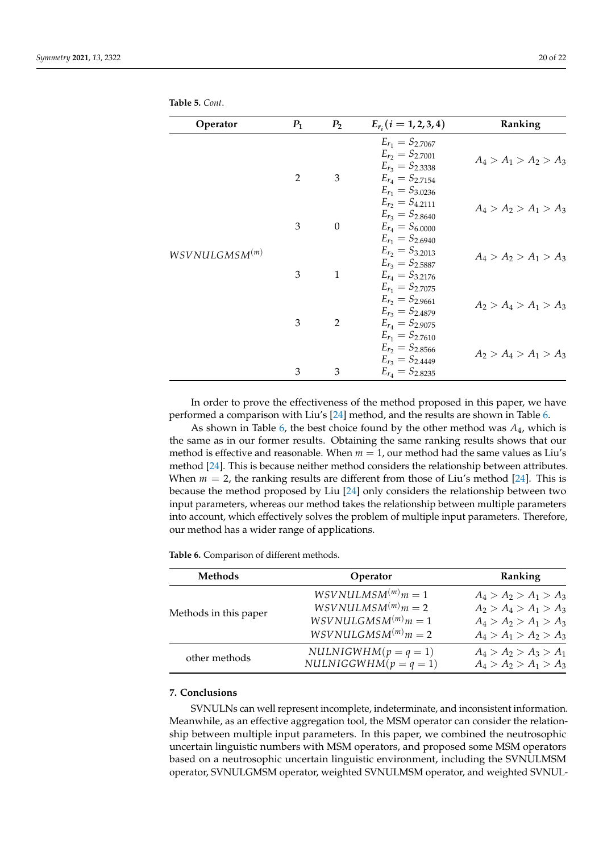| Operator                   | $P_1$          | P <sub>2</sub> | $E_{r_i}$ $(i = 1, 2, 3, 4)$                                                                         | Ranking                 |
|----------------------------|----------------|----------------|------------------------------------------------------------------------------------------------------|-------------------------|
|                            | $\overline{2}$ | 3              | $E_{r_1} = S_{2.7067}$<br>$E_{r_2} = S_{2.7001}$<br>$E_{r_3} = S_{2.3338}$<br>$E_{r_4} = S_{2,7154}$ | $A_4 > A_1 > A_2 > A_3$ |
|                            | 3              | $\theta$       | $E_{r_1} = S_{3.0236}$<br>$E_{r_2} = S_{4,2111}$<br>$E_{r_3} = S_{2.8640}$<br>$E_{r_4} = S_{6.0000}$ | $A_4 > A_2 > A_1 > A_3$ |
| WSV NULGMSM <sup>(m)</sup> | 3              | $\mathbf{1}$   | $E_{r_1} = S_{2.6940}$<br>$E_{r_2} = S_{3,2013}$<br>$E_{r_3} = S_{2.5887}$<br>$E_{r_4} = S_{3,2176}$ | $A_4 > A_2 > A_1 > A_3$ |
|                            | 3              | 2              | $E_{r_1} = S_{2.7075}$<br>$E_{r_2} = S_{2.9661}$<br>$E_{r_3} = S_{2.4879}$<br>$E_{r_4} = S_{2.9075}$ | $A_2 > A_4 > A_1 > A_3$ |
|                            | 3              | 3              | $E_{r_1} = S_{2,7610}$<br>$E_{r_2} = S_{2.8566}$<br>$E_{r_3} = S_{2.4449}$<br>$E_{r_4} = S_{2.8235}$ | $A_2 > A_4 > A_1 > A_3$ |

<span id="page-19-1"></span>**Table 5.** *Cont*.

In order to prove the effectiveness of the method proposed in this paper, we have performed a comparison with Liu's [\[24\]](#page-21-5) method, and the results are shown in Table [6.](#page-19-2)

As shown in Table [6,](#page-19-2) the best choice found by the other method was *A*4, which is the same as in our former results. Obtaining the same ranking results shows that our method is effective and reasonable. When *m* = 1, our method had the same values as Liu's method [\[24\]](#page-21-5). This is because neither method considers the relationship between attributes. When  $m = 2$ , the ranking results are different from those of Liu's method [\[24\]](#page-21-5). This is because the method proposed by Liu [\[24\]](#page-21-5) only considers the relationship between two input parameters, whereas our method takes the relationship between multiple parameters into account, which effectively solves the problem of multiple input parameters. Therefore, our method has a wider range of applications.

<span id="page-19-2"></span>**Table 6.** Comparison of different methods.

| <b>Methods</b>        | Operator                                                                                           | Ranking                                                                                                  |  |
|-----------------------|----------------------------------------------------------------------------------------------------|----------------------------------------------------------------------------------------------------------|--|
| Methods in this paper | $WSVNULLMSM^{(m)}m=1$<br>$WSVNULLMSM^{(m)}m=2$<br>$WSVNULLGMSM^{(m)}m=1$<br>$WSVNULLGMSM^{(m)}m=2$ | $A_4 > A_2 > A_1 > A_3$<br>$A_2 > A_4 > A_1 > A_3$<br>$A_4 > A_2 > A_1 > A_3$<br>$A_4 > A_1 > A_2 > A_3$ |  |
| other methods         | $NULLNIGWHM(p = q = 1)$<br>$NULLNIGGWHM(p = q = 1)$                                                | $A_4 > A_2 > A_3 > A_1$<br>$A_4 > A_2 > A_1 > A_3$                                                       |  |

## <span id="page-19-0"></span>**7. Conclusions**

SVNULNs can well represent incomplete, indeterminate, and inconsistent information. Meanwhile, as an effective aggregation tool, the MSM operator can consider the relationship between multiple input parameters. In this paper, we combined the neutrosophic uncertain linguistic numbers with MSM operators, and proposed some MSM operators based on a neutrosophic uncertain linguistic environment, including the SVNULMSM operator, SVNULGMSM operator, weighted SVNULMSM operator, and weighted SVNUL-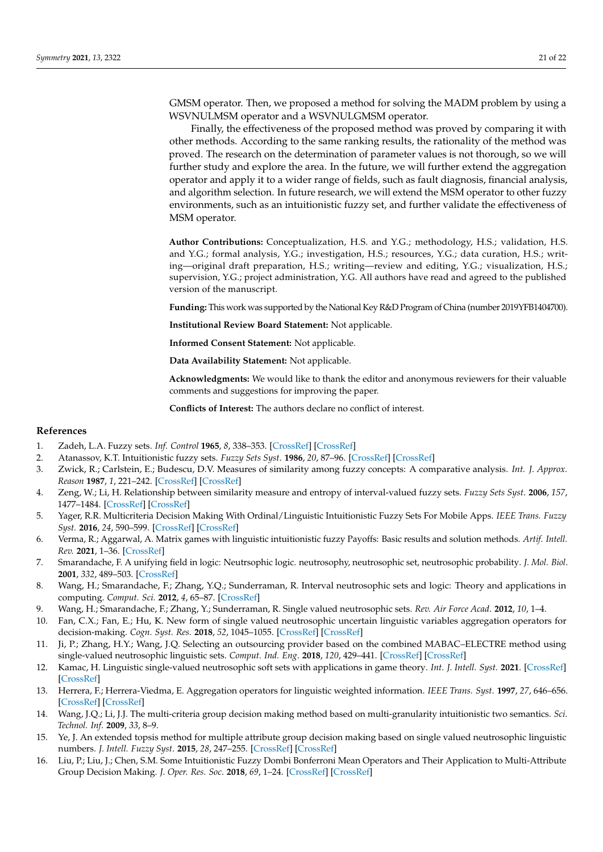GMSM operator. Then, we proposed a method for solving the MADM problem by using a WSVNULMSM operator and a WSVNULGMSM operator.

Finally, the effectiveness of the proposed method was proved by comparing it with other methods. According to the same ranking results, the rationality of the method was proved. The research on the determination of parameter values is not thorough, so we will further study and explore the area. In the future, we will further extend the aggregation operator and apply it to a wider range of fields, such as fault diagnosis, financial analysis, and algorithm selection. In future research, we will extend the MSM operator to other fuzzy environments, such as an intuitionistic fuzzy set, and further validate the effectiveness of MSM operator.

**Author Contributions:** Conceptualization, H.S. and Y.G.; methodology, H.S.; validation, H.S. and Y.G.; formal analysis, Y.G.; investigation, H.S.; resources, Y.G.; data curation, H.S.; writing—original draft preparation, H.S.; writing—review and editing, Y.G.; visualization, H.S.; supervision, Y.G.; project administration, Y.G. All authors have read and agreed to the published version of the manuscript.

**Funding:** This work was supported by the National Key R&D Program of China (number 2019YFB1404700).

**Institutional Review Board Statement:** Not applicable.

**Informed Consent Statement:** Not applicable.

**Data Availability Statement:** Not applicable.

**Acknowledgments:** We would like to thank the editor and anonymous reviewers for their valuable comments and suggestions for improving the paper.

**Conflicts of Interest:** The authors declare no conflict of interest.

### **References**

- <span id="page-20-0"></span>1. Zadeh, L.A. Fuzzy sets. *Inf. Control* **1965**, *8*, 338–353. [\[CrossRef\]](http://doi.org/10.1016/S0019-9958(65)90241-X) [\[CrossRef\]](http://dx.doi.org/10.1016/S0019-9958(65)90241-X)
- <span id="page-20-1"></span>2. Atanassov, K.T. Intuitionistic fuzzy sets. *Fuzzy Sets Syst*. **1986**, *20*, 87–96. [\[CrossRef\]](http://dx.doi.org/10.1016/S0165-0114(86)80034-3) [\[CrossRef\]](http://dx.doi.org/10.1016/S0165-0114(86)80034-3)
- <span id="page-20-2"></span>3. Zwick, R.; Carlstein, E.; Budescu, D.V. Measures of similarity among fuzzy concepts: A comparative analysis. *Int. J. Approx. Reason* **1987**, *1*, 221–242. [\[CrossRef\]](http://dx.doi.org/10.1016/0888-613X(87)90015-6) [\[CrossRef\]](http://dx.doi.org/10.1016/0888-613X(87)90015-6)
- <span id="page-20-3"></span>4. Zeng, W.; Li, H. Relationship between similarity measure and entropy of interval-valued fuzzy sets. *Fuzzy Sets Syst*. **2006**, *157*, 1477–1484. [\[CrossRef\]](http://dx.doi.org/10.1016/j.fss.2005.11.020) [\[CrossRef\]](http://dx.doi.org/10.1016/j.fss.2005.11.020)
- <span id="page-20-4"></span>5. Yager, R.R. Multicriteria Decision Making With Ordinal/Linguistic Intuitionistic Fuzzy Sets For Mobile Apps. *IEEE Trans. Fuzzy Syst.* **2016**, *24*, 590–599. [\[CrossRef\]](http://dx.doi.org/10.1109/TFUZZ.2015.2463740) [\[CrossRef\]](http://dx.doi.org/10.1109/TFUZZ.2015.2463740)
- <span id="page-20-5"></span>6. Verma, R.; Aggarwal, A. Matrix games with linguistic intuitionistic fuzzy Payoffs: Basic results and solution methods. *Artif. Intell. Rev.* **2021**, 1–36. [\[CrossRef\]](http://dx.doi.org/10.1007/s10462-021-10014-2)
- <span id="page-20-6"></span>7. Smarandache, F. A unifying field in logic: Neutrsophic logic. neutrosophy, neutrosophic set, neutrosophic probability. *J. Mol. Biol*. **2001**, *332*, 489–503. [\[CrossRef\]](http://dx.doi.org/10.1115/1.3426636)
- <span id="page-20-7"></span>8. Wang, H.; Smarandache, F.; Zhang, Y.Q.; Sunderraman, R. Interval neutrosophic sets and logic: Theory and applications in computing. *Comput. Sci.* **2012**, *4*, 65–87. [\[CrossRef\]](http://dx.doi.org/10.5281/zenodo.8818)
- <span id="page-20-8"></span>9. Wang, H.; Smarandache, F.; Zhang, Y.; Sunderraman, R. Single valued neutrosophic sets. *Rev. Air Force Acad*. **2012**, *10*, 1–4.
- <span id="page-20-9"></span>10. Fan, C.X.; Fan, E.; Hu, K. New form of single valued neutrosophic uncertain linguistic variables aggregation operators for decision-making. *Cogn. Syst. Res.* **2018**, *52*, 1045–1055. [\[CrossRef\]](http://dx.doi.org/10.1016/j.cogsys.2018.10.004) [\[CrossRef\]](http://dx.doi.org/10.1016/j.cogsys.2018.10.004)
- <span id="page-20-10"></span>11. Ji, P.; Zhang, H.Y.; Wang, J.Q. Selecting an outsourcing provider based on the combined MABAC–ELECTRE method using single-valued neutrosophic linguistic sets. *Comput. Ind. Eng*. **2018**, *120*, 429–441. [\[CrossRef\]](http://dx.doi.org/10.1016/j.cie.2018.05.012) [\[CrossRef\]](http://dx.doi.org/10.1016/j.cie.2018.05.012)
- <span id="page-20-11"></span>12. Kamac, H. Linguistic single-valued neutrosophic soft sets with applications in game theory. *Int. J. Intell. Syst.* **2021**. [\[CrossRef\]](http://dx.doi.org/10.1002/int.22445) [\[CrossRef\]](http://dx.doi.org/10.1002/int.22445)
- <span id="page-20-12"></span>13. Herrera, F.; Herrera-Viedma, E. Aggregation operators for linguistic weighted information. *IEEE Trans. Syst*. **1997**, *27*, 646–656. [\[CrossRef\]](http://dx.doi.org/10.1109/3468.618263) [\[CrossRef\]](http://dx.doi.org/10.1109/3468.618263)
- <span id="page-20-13"></span>14. Wang, J.Q.; Li, J.J. The multi-criteria group decision making method based on multi-granularity intuitionistic two semantics. *Sci. Technol. Inf*. **2009**, *33*, 8–9.
- <span id="page-20-14"></span>15. Ye, J. An extended topsis method for multiple attribute group decision making based on single valued neutrosophic linguistic numbers. *J. Intell. Fuzzy Syst*. **2015**, *28*, 247–255. [\[CrossRef\]](http://dx.doi.org/10.3233/IFS-141295) [\[CrossRef\]](http://dx.doi.org/10.3233/IFS-141295)
- <span id="page-20-15"></span>16. Liu, P.; Liu, J.; Chen, S.M. Some Intuitionistic Fuzzy Dombi Bonferroni Mean Operators and Their Application to Multi-Attribute Group Decision Making. *J. Oper. Res. Soc*. **2018**, *69*, 1–24. [\[CrossRef\]](http://dx.doi.org/10.1057/s41274-017-0190-y) [\[CrossRef\]](http://dx.doi.org/10.1057/s41274-017-0190-y)